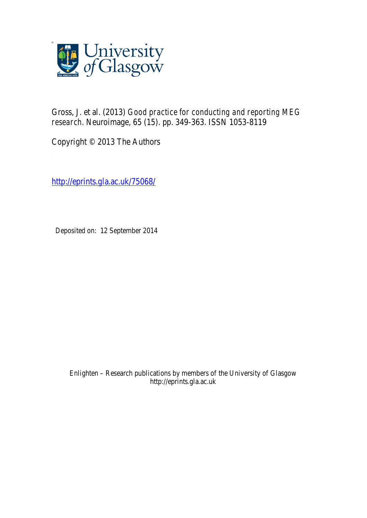

Gross, J. et al. (2013) *Good practice for conducting and reporting MEG research.* Neuroimage, 65 (15). pp. 349-363. ISSN 1053-8119

Copyright © 2013 The Authors

http://eprints.gla.ac.uk/75068/

Deposited on: 12 September 2014

Enlighten – Research publications by members of the University of Glasgow http://eprints.gla.ac.uk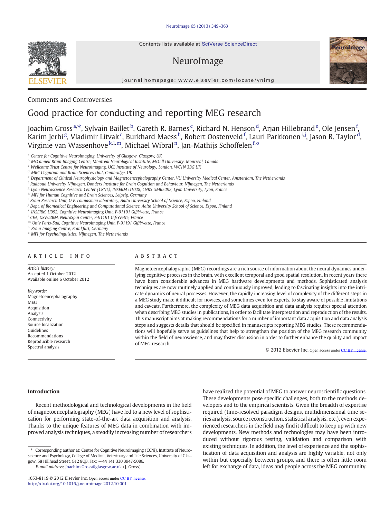Contents lists available at SciVerse ScienceDirect

# NeuroImage

journal homepage: www.elsevier.com/locate/ynimg

## Comments and Controversies

## Good practice for conducting and reporting MEG research

Joachim Gross<sup>a,\*</sup>, Sylvain Baillet <sup>b</sup>, Gareth R. Barnes <sup>c</sup>, Richard N. Henson <sup>d</sup>, Arjan Hillebrand <sup>e</sup>, Ole Jensen <sup>f</sup>, Karim Jerbi<sup>g</sup>, Vladimir Litvak<sup>c</sup>, Burkhard Maess<sup>h</sup>, Robert Oostenveld<sup>f</sup>, Lauri Parkkonen<sup>i,j</sup>, Jason R. Taylor<sup>d</sup>, Virginie van Wassenhove<sup>k, I, m</sup>, Michael Wibral <sup>n</sup>, Jan-Mathijs Schoffelen <sup>f, o</sup>

<sup>a</sup> Centre for Cognitive Neuroimaging, University of Glasgow, Glasgow, UK

- <sup>b</sup> McConnell Brain Imaging Centre, Montreal Neurological Institute, McGill University, Montreal, Canada
- <sup>c</sup> Wellcome Trust Centre for Neuroimaging, UCL Institute of Neurology, London, WC1N 3BG UK

<sup>d</sup> MRC Cognition and Brain Sciences Unit, Cambridge, UK

<sup>e</sup> Department of Clinical Neurophysiology and Magnetoencephalography Center, VU University Medical Center, Amsterdam, The Netherlands

- <sup>f</sup> Radboud University Nijmegen, Donders Institute for Brain Cognition and Behaviour, Nijmegen, The Netherlands
- <sup>g</sup> Lyon Neuroscience Research Center (CRNL), INSERM U1028, CNRS UMR5292, Lyon University, Lyon, France

h MPI for Human Cognitive and Brain Sciences, Leipzig, Germany

<sup>i</sup> Brain Research Unit, O.V. Lounasmaa laboratory, Aalto University School of Science, Espoo, Finland

<sup>j</sup> Dept. of Biomedical Engineering and Computational Science, Aalto University School of Science, Espoo, Finland

<sup>k</sup> INSERM, U992, Cognitive Neuroimaging Unit, F-91191 Gif/Yvette, France

<sup>l</sup> CEA, DSV/I2BM, NeuroSpin Center, F-91191 Gif/Yvette, France

<sup>m</sup> Univ Paris-Sud, Cognitive Neuroimaging Unit, F-91191 Gif/Yvette, France

<sup>n</sup> Brain Imaging Centre, Frankfurt, Germany

<sup>o</sup> MPI for Psycholinguistics, Nijmegen, The Netherlands

#### article info abstract

Article history: Accepted 1 October 2012 Available online 6 October 2012

Keywords: Magnetoencephalography **MEG** Acquisition Analysis Connectivity Source localization Guidelines Recommendations Reproducible research Spectral analysis

Magnetoencephalographic (MEG) recordings are a rich source of information about the neural dynamics underlying cognitive processes in the brain, with excellent temporal and good spatial resolution. In recent years there have been considerable advances in MEG hardware developments and methods. Sophisticated analysis techniques are now routinely applied and continuously improved, leading to fascinating insights into the intricate dynamics of neural processes. However, the rapidly increasing level of complexity of the different steps in a MEG study make it difficult for novices, and sometimes even for experts, to stay aware of possible limitations and caveats. Furthermore, the complexity of MEG data acquisition and data analysis requires special attention when describing MEG studies in publications, in order to facilitate interpretation and reproduction of the results. This manuscript aims at making recommendations for a number of important data acquisition and data analysis steps and suggests details that should be specified in manuscripts reporting MEG studies. These recommendations will hopefully serve as guidelines that help to strengthen the position of the MEG research community within the field of neuroscience, and may foster discussion in order to further enhance the quality and impact of MEG research.

© 2012 Elsevier Inc. Open access under [CC BY license.](http://creativecommons.org/licenses/by/3.0/)

#### Introduction

Recent methodological and technological developments in the field of magnetoencephalography (MEG) have led to a new level of sophistication for performing state-of-the-art data acquisition and analysis. Thanks to the unique features of MEG data in combination with improved analysis techniques, a steadily increasing number of researchers have realized the potential of MEG to answer neuroscientific questions. These developments pose specific challenges, both to the methods developers and to the empirical scientists. Given the breadth of expertise required (time-resolved paradigm designs, multidimensional time series analysis, source reconstruction, statistical analysis, etc.), even experienced researchers in the field may find it difficult to keep up with new developments. New methods and technologies may have been introduced without rigorous testing, validation and comparison with existing techniques. In addition, the level of experience and the sophistication of data acquisition and analysis are highly variable, not only within but especially between groups, and there is often little room left for exchange of data, ideas and people across the MEG community.





<sup>⁎</sup> Corresponding author at: Centre for Cognitive Neuroimaging (CCNi), Institute of Neuroscience and Psychology, College of Medical, Veterinary and Life Sciences, University of Glasgow, 58 Hillhead Street, G12 8QB. Fax: +44 141 330 3947/5086.

E-mail address: [Joachim.Gross@glasgow.ac.uk](mailto:Joachim.Gross@glasgow.ac.uk) (J. Gross).

<sup>1053-8119 © 2012</sup> Elsevier Inc. Open access under [CC BY license.](http://creativecommons.org/licenses/by/3.0/)<http://dx.doi.org/10.1016/j.neuroimage.2012.10.001>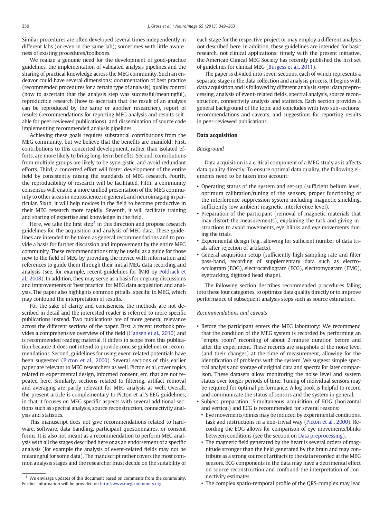<span id="page-2-0"></span>Similar procedures are often developed several times independently in different labs (or even in the same lab); sometimes with little awareness of existing procedures/toolboxes.

We realize a genuine need for the development of good-practice guidelines, the implementation of validated analysis pipelines and the sharing of practical knowledge across the MEG community. Such an endeavor could have several dimensions: documentation of best practice (recommended procedures for a certain type of analysis), quality control (how to ascertain that the analysis step was successful/meaningful), reproducible research (how to ascertain that the result of an analysis can be reproduced by the same or another researcher), report of results (recommendations for reporting MEG analysis and results suitable for peer-reviewed publications), and dissemination of source code implementing recommended analysis pipelines.

Achieving these goals requires substantial contributions from the MEG community, but we believe that the benefits are manifold: First, contributions to this concerted development, rather than isolated efforts, are more likely to bring long-term benefits. Second, contributions from multiple groups are likely to be synergistic, and avoid redundant efforts. Third, a concerted effort will foster development of the entire field by consistently raising the standards of MEG research. Fourth, the reproducibility of research will be facilitated. Fifth, a community consensus will enable a more unified presentation of the MEG community to other areas in neuroscience in general, and neuroimaging in particular. Sixth, it will help novices in the field to become productive in their MEG research more rapidly. Seventh, it will facilitate training and sharing of expertise and knowledge in the field.

Here, we take the first step<sup>1</sup> in this direction and propose research guidelines for the acquisition and analysis of MEG data. These guidelines are intended to be taken as general recommendations and to provide a basis for further discussion and improvement by the entire MEG community. These recommendations may be useful as a guide for those new to the field of MEG by providing the novice with information and references to guide them through their initial MEG data recording and analysis (see, for example, recent guidelines for fMRI by [Poldrack et](#page-15-0) [al., 2008](#page-15-0)). In addition, they may serve as a basis for ongoing discussions and improvements of 'best practice' for MEG data acquisition and analysis. The paper also highlights common pitfalls, specific to MEG, which may confound the interpretation of results.

For the sake of clarity and conciseness, the methods are not described in detail and the interested reader is referred to more specific publications instead. Two publications are of more general relevance across the different sections of the paper. First, a recent textbook provides a comprehensive overview of the field ([Hansen et al., 2010\)](#page-14-0) and is recommended reading material. It differs in scope from this publication because it does not intend to provide concise guidelines or recommendations. Second, guidelines for using event-related potentials have been suggested [\(Picton et al., 2000](#page-15-0)). Several sections of this earlier paper are relevant to MEG researchers as well. Picton et al. cover topics related to experimental design, informed consent, etc. that are not repeated here. Similarly, sections related to filtering, artifact removal and averaging are partly relevant for MEG analysis as well. Overall, the present article is complementary to Picton et al.'s EEG guidelines, in that it focuses on MEG-specific aspects with several additional sections such as spectral analysis, source reconstruction, connectivity analysis and statistics.

This manuscript does not give recommendations related to hardware, software, data handling, participant questionnaires, or consent forms. It is also not meant as a recommendation to perform MEG analysis with all the stages described here or as an endorsement of a specific analysis (for example the analysis of event-related fields may not be meaningful for some data). The manuscript rather covers the most common analysis stages and the researcher must decide on the suitability of each stage for the respective project or may employ a different analysis not described here. In addition, these guidelines are intended for basic research, not clinical applications: timely with the present initiative, the American Clinical MEG Society has recently published the first set of guidelines for clinical MEG [\(Burgess et al., 2011](#page-14-0)).

The paper is divided into seven sections, each of which represents a separate stage in the data collection and analysis process. It begins with data acquisition and is followed by different analysis steps: data preprocessing, analysis of event-related fields, spectral analysis, source reconstruction, connectivity analysis and statistics. Each section provides a general background of the topic and concludes with two sub-sections: recommendations and caveats, and suggestions for reporting results in peer-reviewed publications.

#### Data acquisition

#### Background

Data acquisition is a critical component of a MEG study as it affects data quality directly. To ensure optimal data quality, the following elements need to be taken into account:

- Operating status of the system and set-up (sufficient helium level, optimum calibration/tuning of the sensors, proper functioning of the interference suppression system including magnetic shielding, sufficiently low ambient magnetic interference level).
- Preparation of the participant (removal of magnetic materials that may distort the measurements), explaining the task and giving instructions to avoid movements, eye-blinks and eye movements during the trials.
- Experimental design (e.g., allowing for sufficient number of data trials after rejection of artifacts).
- General acquisition setup (sufficiently high sampling rate and filter pass-band, recording of supplementary data such as electrooculogram (EOG), electrocardiogram (ECG), electromyogram (EMG), eyetracking, digitized head shape).

The following section describes recommended procedures falling into these four categories, to optimize data quality directly or to improve performance of subsequent analysis steps such as source estimation.

#### Recommendations and caveats

- Before the participant enters the MEG laboratory: We recommend that the condition of the MEG system is recorded by performing an "empty room" recording of about 2 minute duration before and after the experiment. These records are snapshots of the noise level (and their changes) at the time of measurement, allowing for the identification of problems with the system. We suggest simple spectral analysis and storage of original data and spectra for later comparison. These datasets allow monitoring the noise level and system status over longer periods of time. Tuning of individual sensors may be required for optimal performance. A log book is helpful to record and communicate the status of sensors and the system in general.
- Subject preparation: Simultaneous acquisition of EOG (horizontal and vertical) and ECG is recommended for several reasons:
- Eye movements/blinks may be induced by experimental conditions, task and instructions in a non-trivial way [\(Picton et al., 2000](#page-15-0)). Recording the EOG allows for comparison of eye movements/blinks between conditions (see the section on [Data preprocessing\)](#page-4-0).
- The magnetic field generated by the heart is several orders of magnitude stronger than the field generated by the brain and may contribute as a strong source of artifacts to the data recorded at the MEG sensors. ECG components in the data may have a detrimental effect on source reconstruction and confound the interpretation of connectivity estimates.
- The complex spatio-temporal profile of the QRS-complex may lead

 $1$  We envisage updates of this document based on comments from the community. Further information will be provided on <http://www.megcommunity.org>.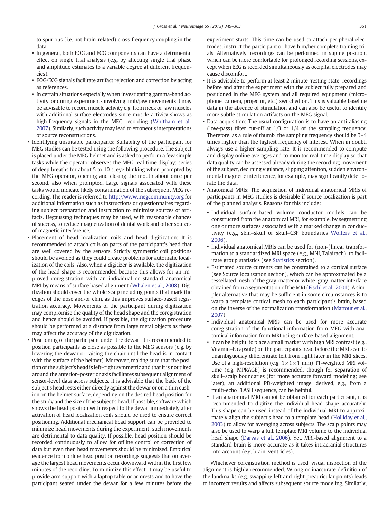to spurious (i.e. not brain-related) cross-frequency coupling in the data.

- In general, both EOG and ECG components can have a detrimental effect on single trial analysis (e.g. by affecting single trial phase and amplitude estimates to a variable degree at different frequencies).
- EOG/ECG signals facilitate artifact rejection and correction by acting as references.
- In certain situations especially when investigating gamma-band activity, or during experiments involving limb/jaw movements it may be advisable to record muscle activity e.g. from neck or jaw muscles with additional surface electrodes since muscle activity shows as high-frequency signals in the MEG recording [\(Whitham et al.,](#page-15-0) [2007\)](#page-15-0). Similarly, such activity may lead to erroneous interpretations of source reconstructions.
- Identifying unsuitable participants: Suitability of the participant for MEG studies can be tested using the following procedure. The subject is placed under the MEG helmet and is asked to perform a few simple tasks while the operator observes the MEG real-time display: series of deep breaths for about 5 to 10 s, eye blinking when prompted by the MEG operator, opening and closing the mouth about once per second, also when prompted. Large signals associated with these tasks would indicate likely contamination of the subsequent MEG recording. The reader is referred to <http://www.megcommunity.org> for additional information such as instructions or questionnaires regarding subject preparation and instruction to minimize sources of artifacts. Degaussing techniques may be used, with reasonable chances of success, to reduce magnetization of dental work and other sources of magnetic interference.
- Placement of head localization coils and head digitization: It is recommended to attach coils on parts of the participant's head that are well covered by the sensors. Strictly symmetric coil positions should be avoided as they could create problems for automatic localization of the coils. Also, when a digitizer is available, the digitization of the head shape is recommended because this allows for an improved coregistration with an individual or standard anatomical MRI by means of surface based alignment ([Whalen et al., 2008](#page-15-0)). Digitization should cover the whole scalp including points that mark the edges of the nose and/or chin, as this improves surface-based registration accuracy. Movements of the participant during digitization may compromise the quality of the head shape and the coregistration and hence should be avoided. If possible, the digitization procedure should be performed at a distance from large metal objects as these may affect the accuracy of the digitization.
- Positioning of the participant under the dewar: It is recommended to position participants as close as possible to the MEG sensors (e.g. by lowering the dewar or raising the chair until the head is in contact with the surface of the helmet). Moreover, making sure that the position of the subject's head is left–right symmetric and that it is not tilted around the anterior–posterior axis facilitates subsequent alignment of sensor-level data across subjects. It is advisable that the back of the subject's head rests either directly against the dewar or on a thin cushion on the helmet surface, depending on the desired head position for the study and the size of the subject's head. If possible, software which shows the head position with respect to the dewar immediately after activation of head localization coils should be used to ensure correct positioning. Additional mechanical head support can be provided to minimize head movements during the experiment; such movements are detrimental to data quality. If possible, head position should be recorded continuously to allow for offline control or correction of data but even then head movements should be minimized. Empirical evidence from online head position recordings suggests that on average the largest head movements occur downward within the first few minutes of the recording. To minimize this effect, it may be useful to provide arm support with a laptop table or armrests and to have the participant seated under the dewar for a few minutes before the

experiment starts. This time can be used to attach peripheral electrodes, instruct the participant or have him/her complete training trials. Alternatively, recordings can be performed in supine position, which can be more comfortable for prolonged recording sessions, except when EEG is recorded simultaneously as occipital electrodes may cause discomfort.

- It is advisable to perform at least 2 minute 'resting state' recordings before and after the experiment with the subject fully prepared and positioned in the MEG system and all required equipment (microphone, camera, projector, etc.) switched on. This is valuable baseline data in the absence of stimulation and can also be useful to identify more subtle stimulation artifacts on the MEG signal.
- Data acquisition: The usual configuration is to have an anti-aliasing (low-pass) filter cut-off at 1/3 or 1/4 of the sampling frequency. Therefore, as a rule of thumb, the sampling frequency should be 3–4 times higher than the highest frequency of interest. When in doubt, always use a higher sampling rate. It is recommended to compute and display online averages and to monitor real-time display so that data quality can be assessed already during the recording; movement of the subject, declining vigilance, slipping attention, sudden environmental magnetic interference, for example, may significantly deteriorate the data.
- Anatomical MRIs: The acquisition of individual anatomical MRIs of participants in MEG studies is desirable if source localization is part of the planned analysis. Reasons for this include:
	- Individual surface-based volume conductor models can be constructed from the anatomical MRI, for example, by segmenting one or more surfaces associated with a marked change in conductivity (e.g., skin–skull or skull–CSF boundaries [Wolters et al.,](#page-15-0) [2006](#page-15-0)).
	- Individual anatomical MRIs can be used for (non-)linear transformation to a standardized MRI space (e.g., MNI, Talairach), to facilitate group statistics (see [Statistics](#page-11-0) section).
	- Estimated source currents can be constrained to a cortical surface (see Source localization section), which can be approximated by a tessellated mesh of the gray-matter or white–gray matter interface obtained from a segmentation of the MRI ([Fischl et al., 2001\)](#page-14-0). A simpler alternative that may be sufficient in some circumstances is to warp a template cortical mesh to each participant's brain, based on the inverse of the normalization transformation ([Mattout et al.,](#page-15-0) [2007\)](#page-15-0).
	- Individual anatomical MRIs can be used for more accurate coregistration of the functional information from MEG with anatomical information from MRI using surface-based alignment.
	- It can be helpful to place a small marker with high MRI contrast (e.g., Vitamin–E capsule) on the participants head before the MRI scan to unambiguously differentiate left from right later in the MRI slices. Use of a high-resolution (e.g.  $1 \times 1 \times 1$  mm) T1-weighted MRI volume (e.g. MPRAGE) is recommended, though for separation of skull–scalp boundaries (for more accurate forward modeling; see later), an additional PD-weighted image, derived, e.g., from a multi-echo FLASH sequence, can be helpful.
	- If an anatomical MRI cannot be obtained for each participant, it is recommended to digitize the individual head shape accurately. This shape can be used instead of the individual MRI to approximately align the subject's head to a template head [\(Holliday et al.,](#page-14-0) [2003\)](#page-14-0) to allow for averaging across subjects. The scalp points may also be used to warp a full, template MRI volume to the individual head shape [\(Darvas et al., 2006\)](#page-14-0). Yet, MRI-based alignment to a standard brain is more accurate as it takes intracranial structures into account (e.g. brain, ventricles).

Whichever coregistration method is used, visual inspection of the alignment is highly recommended. Wrong or inaccurate definition of the landmarks (e.g. swapping left and right preauricular points) leads to incorrect results and affects subsequent source modeling. Similarly,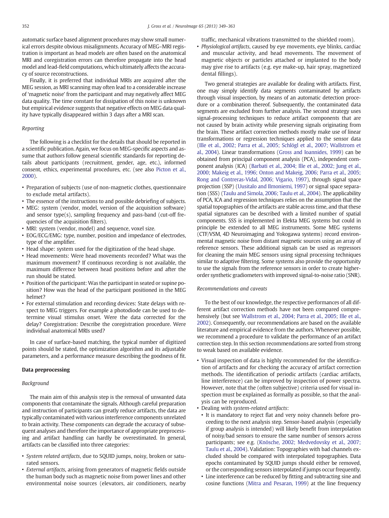<span id="page-4-0"></span>automatic surface based alignment procedures may show small numerical errors despite obvious misalignments. Accuracy of MEG–MRI registration is important as head models are often based on the anatomical MRI and coregistration errors can therefore propagate into the head model and lead-field computations, which ultimately affects the accuracy of source reconstructions.

Finally, it is preferred that individual MRIs are acquired after the MEG session, as MRI scanning may often lead to a considerable increase of 'magnetic noise' from the participant and may negatively affect MEG data quality. The time constant for dissipation of this noise is unknown but empirical evidence suggests that negative effects on MEG data quality have typically disappeared within 3 days after a MRI scan.

### Reporting

The following is a checklist for the details that should be reported in a scientific publication. Again, we focus on MEG-specific aspects and assume that authors follow general scientific standards for reporting details about participants (recruitment, gender, age, etc.), informed consent, ethics, experimental procedures, etc. (see also [Picton et al.,](#page-15-0) [2000\)](#page-15-0).

- Preparation of subjects (use of non-magnetic clothes, questionnaire to exclude metal artifacts).
- The essence of the instructions to and possible debriefing of subjects.
- MEG: system (vendor, model, version of the acquisition software) and sensor type(s), sampling frequency and pass-band (cut-off frequencies of the acquisition filters).
- MRI: system (vendor, model) and sequence, voxel size.
- EOG/ECG/EMG: type, number, position and impedance of electrodes, type of the amplifier.
- Head shape: system used for the digitization of the head shape.
- Head movements: Were head movements recorded? What was the maximum movement? If continuous recording is not available, the maximum difference between head positions before and after the run should be stated.
- Position of the participant: Was the participant in seated or supine position? How was the head of the participant positioned in the MEG helmet?
- For external stimulation and recording devices: State delays with respect to MEG triggers. For example a photodiode can be used to determine visual stimulus onset. Were the data corrected for the delay? Coregistration: Describe the coregistration procedure. Were individual anatomical MRIs used?

In case of surface-based matching, the typical number of digitized points should be stated, the optimization algorithm and its adjustable parameters, and a performance measure describing the goodness of fit.

#### Data preprocessing

#### Background

The main aim of this analysis step is the removal of unwanted data components that contaminate the signals. Although careful preparation and instruction of participants can greatly reduce artifacts, the data are typically contaminated with various interference components unrelated to brain activity. These components can degrade the accuracy of subsequent analyses and therefore the importance of appropriate preprocessing and artifact handling can hardly be overestimated. In general, artifacts can be classified into three categories:

- System related artifacts, due to SQUID jumps, noisy, broken or saturated sensors.
- External artifacts, arising from generators of magnetic fields outside the human body such as magnetic noise from power lines and other environmental noise sources (elevators, air conditioners, nearby

traffic, mechanical vibrations transmitted to the shielded room).

• Physiological artifacts, caused by eye movements, eye blinks, cardiac and muscular activity, and head movements. The movement of magnetic objects or particles attached or implanted to the body may give rise to artifacts (e.g. eye make-up, hair spray, magnetized dental fillings).

Two general strategies are available for dealing with artifacts. First, one may simply identify data segments contaminated by artifacts through visual inspection, by means of an automatic detection procedure or a combination thereof. Subsequently, the contaminated data segments are excluded from further analysis. The second strategy uses signal-processing techniques to reduce artifact components that are not caused by brain activity while preserving signals originating from the brain. These artifact correction methods mostly make use of linear transformations or regression techniques applied to the sensor data [\(Ille et al., 2002; Parra et al., 2005; Schlögl et al., 2007; Wallstrom et](#page-14-0) [al., 2004\)](#page-14-0). Linear transformations [\(Gross and Ioannides, 1999\)](#page-14-0) can be obtained from principal component analysis (PCA), independent component analysis (ICA) ([Barbati et al., 2004; Ille et al., 2002; Jung et al.,](#page-14-0) [2000; Makeig et al., 1996; Onton and Makeig, 2006; Parra et al., 2005;](#page-14-0) [Rong and Contreras-Vidal, 2006; Vigario, 1997\)](#page-14-0), through signal space projection (SSP) [\(Uusitalo and Ilmoniemi, 1997\)](#page-15-0) or signal space separation (SSS) [\(Taulu and Simola, 2006; Taulu et al., 2004\)](#page-15-0). The applicability of PCA, ICA and regression techniques relies on the assumption that the spatial topographies of the artifacts are stable across time, and that these spatial signatures can be described with a limited number of spatial components. SSS is implemented in Elekta MEG systems but could in principle be extended to all MEG instruments. Some MEG systems (CTF/VSM, 4D Neuroimaging and Yokogawa systems) record environmental magnetic noise from distant magnetic sources using an array of reference sensors. These additional signals can be used as regressors for cleaning the main MEG sensors using signal processing techniques similar to adaptive filtering. Some systems also provide the opportunity to use the signals from the reference sensors in order to create higherorder synthetic gradiometers with improved signal-to-noise ratio (SNR).

#### Recommendations and caveats

To the best of our knowledge, the respective performances of all different artifact correction methods have not been compared comprehensively (but see [Wallstrom et al., 2004; Parra et al., 2005; Ille et al.,](#page-15-0) [2002\)](#page-15-0). Consequently, our recommendations are based on the available literature and empirical evidence from the authors. Whenever possible, we recommend a procedure to validate the performance of an artifact correction step. In this section recommendations are sorted from strong to weak based on available evidence.

- Visual inspection of data is highly recommended for the identification of artifacts and for checking the accuracy of artifact correction methods. The identification of periodic artifacts (cardiac artifacts, line interference) can be improved by inspection of power spectra. However, note that the (often subjective) criteria used for visual inspection must be explained as formally as possible, so that the analysis can be reproduced.
- Dealing with system-related artifacts:
- It is mandatory to reject flat and very noisy channels before proceeding to the next analysis step. Sensor-based analysis (especially if group analysis is intended) will likely benefit from interpolation of noisy/bad sensors to ensure the same number of sensors across participants; see e.g. ([Knösche, 2002; Medvedovsky et al., 2007;](#page-14-0) [Taulu et al., 2004\)](#page-14-0). Validation: Topographies with bad channels excluded should be compared with interpolated topographies. Data epochs contaminated by SQUID jumps should either be removed, or the corresponding sensors interpolated if jumps occur frequently.
- Line interference can be reduced by fitting and subtracting sine and cosine functions [\(Mitra and Pesaran, 1999\)](#page-15-0) at the line frequency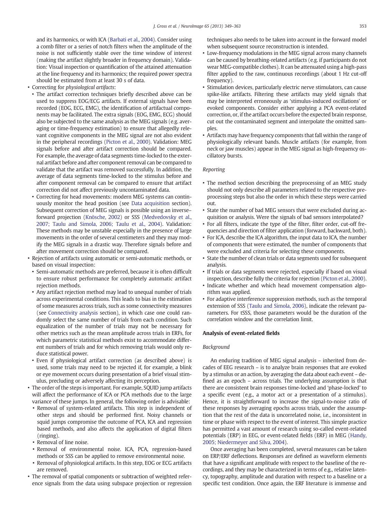and its harmonics, or with ICA [\(Barbati et al., 2004\)](#page-14-0). Consider using a comb filter or a series of notch filters when the amplitude of the noise is not sufficiently stable over the time window of interest (making the artifact slightly broader in frequency domain). Validation: Visual inspection or quantification of the attained attenuation at the line frequency and its harmonics; the required power spectra should be estimated from at least 30 s of data.

- Correcting for physiological artifacts:
	- The artifact correction techniques briefly described above can be used to suppress EOG/ECG artifacts. If external signals have been recorded (EOG, ECG, EMG), the identification of artifactual components may be facilitated. The extra signals (EOG, EMG, ECG) should also be subjected to the same analysis as the MEG signals (e.g. averaging or time-frequency estimation) to ensure that allegedly relevant cognitive components in the MEG signal are not also evident in the peripheral recordings ([Picton et al., 2000](#page-15-0)). Validation: MEG signals before and after artifact correction should be compared. For example, the average of data segments time-locked to the external artifact before and after component removal can be compared to validate that the artifact was removed successfully. In addition, the average of data segments time-locked to the stimulus before and after component removal can be compared to ensure that artifact correction did not affect previously uncontaminated data.
	- Correcting for head movements: modern MEG systems can continuously monitor the head position (see [Data acquisition](#page-2-0) section). Subsequent correction of MEG signals is possible using an inverse– forward projection ([Knösche, 2002\)](#page-14-0) or SSS ([Medvedovsky et al.,](#page-15-0) [2007; Taulu and Simola, 2006; Taulu et al., 2004](#page-15-0)). Validation: These methods may be unstable especially in the presence of large movements in the order of several centimeters and they may modify the MEG signals in a drastic way. Therefore signals before and after movement correction should be compared.
- Rejection of artifacts using automatic or semi-automatic methods, or based on visual inspection:
	- Semi-automatic methods are preferred, because it is often difficult to ensure robust performance for completely automatic artifact rejection methods.
	- Any artifact rejection method may lead to unequal number of trials across experimental conditions. This leads to bias in the estimation of some measures across trials, such as some connectivity measures (see [Connectivity analysis](#page-10-0) section), in which case one could randomly select the same number of trials from each condition. Such equalization of the number of trials may not be necessary for other metrics such as the mean amplitude across trials in ERFs, for which parametric statistical methods exist to accommodate different numbers of trials and for which removing trials would only reduce statistical power.
- Even if physiological artifact correction (as described above) is used, some trials may need to be rejected if, for example, a blink or eye movement occurs during presentation of a brief visual stimulus, precluding or adversely affecting its perception.
- The order of the steps is important. For example, SQUID jump artifacts will affect the performance of ICA or PCA methods due to the large variance of these jumps. In general, the following order is advisable:
	- Removal of system-related artifacts. This step is independent of other steps and should be performed first. Noisy channels or squid jumps compromise the outcome of PCA, ICA and regression based methods, and also affects the application of digital filters (ringing).
	- Removal of line noise.
	- Removal of environmental noise. ICA, PCA, regression-based methods or SSS can be applied to remove environmental noise.
	- Removal of physiological artifacts. In this step, EOG or ECG artifacts are removed.
- The removal of spatial components or subtraction of weighted reference signals from the data using subspace projection or regression

techniques also needs to be taken into account in the forward model when subsequent source reconstruction is intended.

- Low-frequency modulations in the MEG signal across many channels can be caused by breathing-related artifacts (e.g. if participants do not wear MEG-compatible clothes). It can be attenuated using a high-pass filter applied to the raw, continuous recordings (about 1 Hz cut-off frequency).
- Stimulation devices, particularly electric nerve stimulators, can cause spike-like artifacts. Filtering these artifacts may yield signals that may be interpreted erroneously as 'stimulus-induced oscillations' or evoked components. Consider either applying a PCA event-related correction, or, if the artifact occurs before the expected brain response, cut out the contaminated segment and interpolate the omitted samples.
- Artifacts may have frequency components that fall within the range of physiologically relevant bands. Muscle artifacts (for example, from neck or jaw muscles) appear in the MEG signal as high-frequency oscillatory bursts.

#### Reporting

- The method section describing the preprocessing of an MEG study should not only describe all parameters related to the respective preprocessing steps but also the order in which these steps were carried out.
- State the number of bad MEG sensors that were excluded during acquisition or analysis. Were the signals of bad sensors interpolated?
- For all filters, indicate the type of the filter, filter order, cut-off frequencies and direction of filter application (forward, backward, both).
- For ICA, describe the ICA algorithm, the input data to ICA, the number of components that were estimated, the number of components that were excluded and criteria for selecting these components.
- State the number of clean trials or data segments used for subsequent analysis.
- If trials or data segments were rejected, especially if based on visual inspection, describe fully the criteria for rejection ([Picton et al., 2000](#page-15-0)).
- Indicate whether and which head movement compensation algorithm was applied.
- For adaptive interference suppression methods, such as the temporal extension of SSS ([Taulu and Simola, 2006\)](#page-15-0), indicate the relevant parameters. For tSSS, those parameters would be the duration of the correlation window and the correlation limit.

#### Analysis of event-related fields

#### Background

An enduring tradition of MEG signal analysis – inherited from decades of EEG research – is to analyze brain responses that are evoked by a stimulus or an action, by averaging the data about each event – defined as an epoch – across trials. The underlying assumption is that there are consistent brain responses time-locked and 'phase-locked' to a specific event (e.g., a motor act or a presentation of a stimulus). Hence, it is straightforward to increase the signal-to-noise ratio of these responses by averaging epochs across trials, under the assumption that the rest of the data is uncorrelated noise, i.e., inconsistent in time or phase with respect to the event of interest. This simple practice has permitted a vast amount of research using so-called event-related potentials (ERP) in EEG, or event-related fields (ERF) in MEG [\(Handy,](#page-14-0) [2005; Niedermeyer and Silva, 2004\)](#page-14-0).

Once averaging has been completed, several measures can be taken on ERP/ERF deflections. Responses are defined as waveform elements that have a significant amplitude with respect to the baseline of the recordings, and they may be characterized in terms of e.g., relative latency, topography, amplitude and duration with respect to a baseline or a specific test condition. Once again, the ERF literature is immense and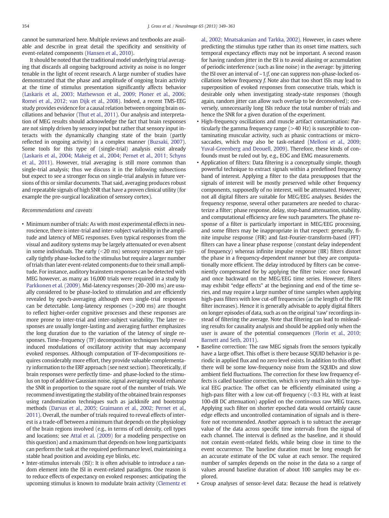cannot be summarized here. Multiple reviews and textbooks are available and describe in great detail the specificity and sensitivity of event-related components [\(Hansen et al., 2010\)](#page-14-0).

It should be noted that the traditional model underlying trial averaging that discards all ongoing background activity as noise is no longer tenable in the light of recent research. A large number of studies have demonstrated that the phase and amplitude of ongoing brain activity at the time of stimulus presentation significantly affects behavior [\(Laskaris et al., 2003; Mathewson et al., 2009; Ploner et al., 2006;](#page-14-0) [Romei et al., 2012; van Dijk et al., 2008](#page-14-0)). Indeed, a recent TMS-EEG study provides evidence for a causal relation between ongoing brain oscillations and behavior [\(Thut et al., 2011](#page-15-0)). Our analysis and interpretation of MEG results should acknowledge the fact that brain responses are not simply driven by sensory input but rather that sensory input interacts with the dynamically changing state of the brain (partly reflected in ongoing activity) in a complex manner ([Buzsaki, 2007\)](#page-14-0). Some tools for this type of (single-trial) analysis exist already [\(Laskaris et al., 2004; Makeig et al., 2004; Pernet et al., 2011; Schyns](#page-14-0) [et al., 2011\)](#page-14-0). However, trial averaging is still more common than single-trial analysis; thus we discuss it in the following subsections but expect to see a stronger focus on single-trial analysis in future versions of this or similar documents. That said, averaging produces robust and repeatable signals of high SNR that have a proven clinical utility (for example the pre-surgical localization of sensory cortex).

#### Recommendations and caveats

- Minimum number of trials: As with most experimental effects in neuroscience, there is inter-trial and inter-subject variability in the amplitude and latency of MEG responses. Even typical responses from the visual and auditory systems may be largely attenuated or even absent in some individuals. The early  $($  < 20 ms) sensory responses are typically tightly phase-locked to the stimulus but require a larger number of trials than later event-related components due to their small amplitude. For instance, auditory brainstem responses can be detected with MEG however, as many as 16,000 trials were required in a study by [Parkkonen et al. \(2009\).](#page-15-0) Mid-latency responses (20–200 ms) are usually considered to be phase-locked to stimulation and are efficiently revealed by epoch-averaging although even single-trial responses can be detectable. Long-latency responses (>200 ms) are thought to reflect higher-order cognitive processes and these responses are more prone to inter-trial and inter-subject variability. The later responses are usually longer-lasting and averaging further emphasizes the long duration due to the variation of the latency of single responses. Time–frequency (TF) decomposition techniques help reveal induced modulations of oscillatory activity that may accompany evoked responses. Although computation of TF-decompositions requires considerably more effort, they provide valuable complementary information to the ERF approach (see next section). Theoretically, if brain responses were perfectly time- and phase-locked to the stimulus on top of additive Gaussian noise, signal averaging would enhance the SNR in proportion to the square root of the number of trials. We recommend investigating the stability of the obtained brain responses using randomization techniques such as jackknife and bootstrap methods [\(Darvas et al., 2005; Graimann et al., 2002; Pernet et al.,](#page-14-0) [2011](#page-14-0)). Overall, the number of trials required to reveal effects of interest is a trade-off between a minimum that depends on the physiology of the brain regions involved (e.g., in terms of cell density, cell types and locations; see [Attal et al. \(2009\)](#page-14-0) for a modeling perspective on this question) and a maximum that depends on how long participants can perform the task at the required performance level, maintaining a stable head position and avoiding eye blinks, etc.
- Inter-stimulus intervals (ISI): It is often advisable to introduce a random element into the ISI in event-related paradigms. One reason is to reduce effects of expectancy on evoked responses; anticipating the upcoming stimulus is known to modulate brain activity [\(Clementz et](#page-14-0)

[al., 2002; Mnatsakanian and Tarkka, 2002](#page-14-0)). However, in cases where predicting the stimulus type rather than its onset time matters, such temporal expectancy effects may not be important. A second reason for having random jitter in the ISI is to avoid aliasing or accumulation of periodic interference (such as line noise) in the average: by jittering the ISI over an interval of  $\sim 1/f$ , one can suppress non-phase-locked oscillations below frequency f. Note also that too short ISIs may lead to superposition of evoked responses from consecutive trials, which is desirable only when investigating steady-state responses (though again, random jitter can allow such overlap to be deconvolved); conversely, unnecessarily long ISIs reduce the total number of trials and hence the SNR for a given duration of the experiment.

- High-frequency oscillations and muscle artifact contamination: Particularly the gamma frequency range  $(>40$  Hz) is susceptible to contaminating muscular activity, such as phasic contractions or microsaccades, which may also be task-related ([Melloni et al., 2009;](#page-15-0) [Yuval-Greenberg and Deouell, 2009\)](#page-15-0). Therefore, these kinds of confounds must be ruled out by, e.g., EOG and EMG measurements.
- Application of filters: Data filtering is a conceptually simple, though powerful technique to extract signals within a predefined frequency band of interest. Applying a filter to the data presupposes that the signals of interest will be mostly preserved while other frequency components, supposedly of no interest, will be attenuated. However, not all digital filters are suitable for MEG/EEG analyses. Besides the frequency response, several other parameters are needed to characterize a filter; phase response, delay, stop-band attenuation, stability, and computational efficiency are few such parameters. The phase response of a filter is particularly important in MEG/EEG processing, and some filters may be inappropriate in that respect: generally, finite impulse response (FIR) and fast-Fourier-transform-based (FFT) filters can have a linear phase response (constant delay independent of frequency) whereas infinite impulse response (IIR) filters distort the phase in a frequency-dependent manner but they are computationally more efficient. The delay introduced by filters can be conveniently compensated for by applying the filter twice: once forward and once backward on the MEG/EEG time series. However, filters may exhibit "edge effects" at the beginning and end of the time series, and may require a large number of time samples when applying high-pass filters with low cut-off frequencies (as the length of the FIR filter increases). Hence it is generally advisable to apply digital filters on longer episodes of data, such as on the original 'raw' recordings instead of filtering the average. Note that filtering can lead to misleading results for causality analysis and should be applied only when the user is aware of the potential consequences ([Florin et al., 2010;](#page-14-0) [Barnett and Seth, 2011](#page-14-0)).
- Baseline correction: The raw MEG signals from the sensors typically have a large offset. This offset is there because SQUID behavior is periodic in applied flux and no zero level exists. In addition to this offset there will be some low-frequency noise from the SQUIDs and slow ambient field fluctuations. The correction for these low frequency effects is called baseline correction, which is very much akin to the typical EEG practice. The offset can be efficiently eliminated using a high-pass filter with a low cut-off frequency  $\langle$  <0.3 Hz, with at least 100-dB DC attenuation) applied on the continuous raw MEG traces. Applying such filter on shorter epoched data would certainly cause edge effects and uncontrolled contamination of signals and is therefore not recommended. Another approach is to subtract the average value of the data across specific time intervals from the signal of each channel. The interval is defined as the baseline, and it should not contain event-related fields, while being close in time to the event occurrence. The baseline duration must be long enough for an accurate estimate of the DC value at each sensor. The required number of samples depends on the noise in the data so a range of values around baseline duration of about 100 samples may be explored.
- Group analyses of sensor-level data: Because the head is relatively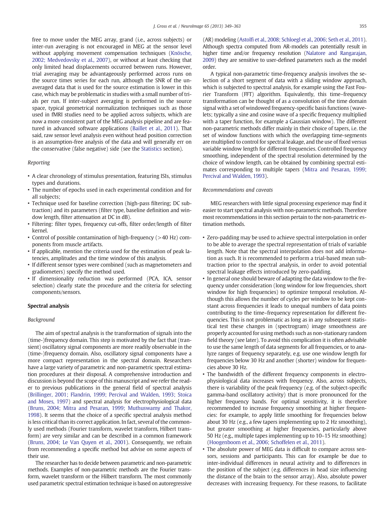free to move under the MEG array, grand (i.e., across subjects) or inter-run averaging is not encouraged in MEG at the sensor level without applying movement compensation techniques ([Knösche,](#page-14-0) [2002; Medvedovsky et al., 2007](#page-14-0)), or without at least checking that only limited head displacements occurred between runs. However, trial averaging may be advantageously performed across runs on the source times series for each run, although the SNR of the unaveraged data that is used for the source estimation is lower in this case, which may be problematic in studies with a small number of trials per run. If inter-subject averaging is performed in the source space, typical geometrical normalization techniques such as those used in fMRI studies need to be applied across subjects, which are now a more consistent part of the MEG analysis pipeline and are featured in advanced software applications ([Baillet et al., 2011](#page-14-0)). That said, raw sensor level analysis even without head position correction is an assumption-free analysis of the data and will generally err on the conservative (false negative) side (see the [Statistics](#page-11-0) section).

#### Reporting

- A clear chronology of stimulus presentation, featuring ISIs, stimulus types and durations.
- The number of epochs used in each experimental condition and for all subjects;
- Technique used for baseline correction (high-pass filtering; DC subtraction) and its parameters (filter type, baseline definition and window length, filter attenuation at DC in dB).
- Filtering: filter types, frequency cut-offs, filter order/length of filter kernel.
- Control of possible contamination of high-frequency (>40 Hz) components from muscle artifacts.
- If applicable, mention the criteria used for the estimation of peak latencies, amplitudes and the time window of this analysis.
- If different sensor types were combined (such as magnetometers and gradiometers) specify the method used.
- If dimensionality reduction was performed (PCA, ICA, sensor selection) clearly state the procedure and the criteria for selecting components/sensors.

#### Spectral analysis

#### Background

The aim of spectral analysis is the transformation of signals into the (time-)frequency domain. This step is motivated by the fact that (transient) oscillatory signal components are more readily observable in the (time-)frequency domain. Also, oscillatory signal components have a more compact representation in the spectral domain. Researchers have a large variety of parametric and non-parametric spectral estimation procedures at their disposal. A comprehensive introduction and discussion is beyond the scope of this manuscript and we refer the reader to previous publications in the general field of spectral analysis [\(Brillinger, 2001; Flandrin, 1999; Percival and Walden, 1993; Stoica](#page-14-0) [and Moses, 1997\)](#page-14-0) and spectral analysis for electrophysiological data [\(Bruns, 2004; Mitra and Pesaran, 1999; Muthuswamy and Thakor,](#page-14-0) [1998](#page-14-0)). It seems that the choice of a specific spectral analysis method is less critical than its correct application. In fact, several of the commonly used methods (Fourier transform, wavelet transform, Hilbert transform) are very similar and can be described in a common framework [\(Bruns, 2004; Le Van Quyen et al., 2001](#page-14-0)). Consequently, we refrain from recommending a specific method but advise on some aspects of their use.

The researcher has to decide between parametric and non-parametric methods. Examples of non-parametric methods are the Fourier transform, wavelet transform or the Hilbert transform. The most commonly used parametric spectral estimation technique is based on autoregressive (AR) modeling (Astolfi [et al., 2008; Schloegl et al., 2006; Seth et al., 2011](#page-14-0)). Although spectra computed from AR-models can potentially result in higher time and/or frequency resolution [\(Nalatore and Rangarajan,](#page-15-0) [2009\)](#page-15-0) they are sensitive to user-defined parameters such as the model order.

A typical non-parametric time-frequency analysis involves the selection of a short segment of data with a sliding window approach, which is subjected to spectral analysis, for example using the Fast Fourier Transform (FFT) algorithm. Equivalently, this time–frequency transformation can be thought of as a convolution of the time domain signal with a set of windowed frequency-specific basis functions (wavelets; typically a sine and cosine wave of a specific frequency multiplied with a taper function, for example a Gaussian window). The different non-parametric methods differ mainly in their choice of tapers, i.e. the set of window functions with which the overlapping time-segments are multiplied to control for spectral leakage, and the use of fixed versus variable window length for different frequencies. Controlled frequency smoothing, independent of the spectral resolution determined by the choice of window length, can be obtained by combining spectral estimates corresponding to multiple tapers [\(Mitra and Pesaran, 1999;](#page-15-0) [Percival and Walden, 1993](#page-15-0)).

#### Recommendations and caveats

MEG researchers with little signal processing experience may find it easier to start spectral analysis with non-parametric methods. Therefore most recommendations in this section pertain to the non-parametric estimation methods.

- Zero-padding may be used to achieve spectral interpolation in order to be able to average the spectral representation of trials of variable length. Note that the spectral interpolation does not add information as such. It is recommended to perform a trial-based mean subtraction prior to the spectral analysis, in order to avoid potential spectral leakage effects introduced by zero-padding.
- In general one should beware of adapting the data window to the frequency under consideration (long window for low frequencies, short window for high frequencies) to optimize temporal resolution. Although this allows the number of cycles per window to be kept constant across frequencies it leads to unequal numbers of data points contributing to the time–frequency representation for different frequencies. This is not problematic as long as in any subsequent statistical test these changes in (spectrogram) image smoothness are properly accounted for using methods such as non-stationary random field theory (see later). To avoid this complication it is often advisable to use the same length of data segments for all frequencies, or to analyze ranges of frequency separately, e.g. use one window length for frequencies below 30 Hz and another (shorter) window for frequencies above 30 Hz.
- The bandwidth of the different frequency components in electrophysiological data increases with frequency. Also, across subjects, there is variability of the peak frequency (e.g. of the subject-specific gamma-band oscillatory activity) that is more pronounced for the higher frequency bands. For optimal sensitivity, it is therefore recommended to increase frequency smoothing at higher frequencies: for example, to apply little smoothing for frequencies below about 30 Hz (e.g., a few tapers implementing up to 2 Hz smoothing), but greater smoothing at higher frequencies, particularly above 50 Hz (e.g., multiple tapes implementing up to 10–15 Hz smoothing) ([Hoogenboom et al., 2006; Schoffelen et al., 2011](#page-14-0)).
- The absolute power of MEG data is difficult to compare across sensors, sessions and participants. This can for example be due to inter-individual differences in neural activity and to differences in the position of the subject (e.g. differences in head size influencing the distance of the brain to the sensor array). Also, absolute power decreases with increasing frequency. For these reasons, to facilitate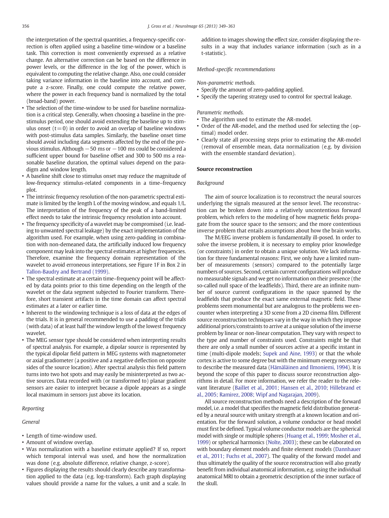the interpretation of the spectral quantities, a frequency-specific correction is often applied using a baseline time-window or a baseline task. This correction is most conveniently expressed as a relative change. An alternative correction can be based on the difference in power levels, or the difference in the log of the power, which is equivalent to computing the relative change. Also, one could consider taking variance information in the baseline into account, and compute a z-score. Finally, one could compute the relative power, where the power in each frequency band is normalized by the total (broad-band) power.

- The selection of the time-window to be used for baseline normalization is a critical step. Generally, when choosing a baseline in the prestimulus period, one should avoid extending the baseline up to stimulus onset  $(t=0)$  in order to avoid an overlap of baseline windows with post-stimulus data samples. Similarly, the baseline onset time should avoid including data segments affected by the end of the previous stimulus. Although −50 ms or −100 ms could be considered a sufficient upper bound for baseline offset and 300 to 500 ms a reasonable baseline duration, the optimal values depend on the paradigm and window length.
- A baseline shift close to stimulus onset may reduce the magnitude of low-frequency stimulus-related components in a time–frequency plot.
- The intrinsic frequency resolution of the non-parametric spectral estimate is limited by the length L of the moving window, and equals 1/L. The interpretation of the frequency of the peak of a band-limited effect needs to take the intrinsic frequency resolution into account.
- The frequency specificity of a wavelet may be compromised (i.e. leading to unwanted spectral leakage) by the exact implementation of the algorithm used. For example, when using zero-padding in combination with non-demeaned data, the artificially induced low frequency component may leak into the spectral estimates at higher frequencies. Therefore, examine the frequency domain representation of the wavelet to avoid erroneous interpretations, see Figure 1F in Box 2 in [Tallon-Baudry and Bertrand \(1999\)](#page-15-0).
- The spectral estimate at a certain time–frequency point will be affected by data points prior to this time depending on the length of the wavelet or the data segment subjected to Fourier transform. Therefore, short transient artifacts in the time domain can affect spectral estimates at a later or earlier time.
- Inherent to the windowing technique is a loss of data at the edges of the trials. It is in general recommended to use a padding of the trials (with data) of at least half the window length of the lowest frequency wavelet.
- The MEG sensor type should be considered when interpreting results of spectral analysis. For example, a dipolar source is represented by the typical dipolar field pattern in MEG systems with magnetometer or axial gradiometer (a positive and a negative deflection on opposite sides of the source location). After spectral analysis this field pattern turns into two hot spots and may easily be misinterpreted as two active sources. Data recorded with (or transformed to) planar gradient sensors are easier to interpret because a dipole appears as a single local maximum in sensors just above its location.

#### Reporting

#### General

- Length of time-window used.
- Amount of window overlap.
- Was normalization with a baseline estimate applied? If so, report which temporal interval was used, and how the normalization was done (e.g. absolute difference, relative change, z-score).
- Figures displaying the results should clearly describe any transformation applied to the data (e.g. log-transform). Each graph displaying values should provide a name for the values, a unit and a scale. In

addition to images showing the effect size, consider displaying the results in a way that includes variance information (such as in a t-statistic).

#### Method-specific recommendations

Non-parametric methods.

- Specify the amount of zero-padding applied.
- Specify the tapering strategy used to control for spectral leakage.

#### Parametric methods.

- The algorithm used to estimate the AR-model.
- Order of the AR-model, and the method used for selecting the (optimal) model order.
- Clearly state all processing steps prior to estimating the AR-model (removal of ensemble mean, data normalization (e.g. by division with the ensemble standard deviation).

#### Source reconstruction

#### Background

The aim of source localization is to reconstruct the neural sources underlying the signals measured at the sensor level. The reconstruction can be broken down into a relatively uncontentious forward problem, which refers to the modeling of how magnetic fields propagate from the source space to the sensors; and the more contentious inverse problem that entails assumptions about how the brain works.

The M/EEG inverse problem is fundamentally ill-posed. In order to solve the inverse problem, it is necessary to employ prior knowledge (or constraints) in order to obtain a unique solution. We lack information for three fundamental reasons: First, we only have a limited number of measurements (sensors) compared to the potentially large numbers of sources. Second, certain current configurations will produce no measurable signals and we get no information on their presence (the so-called null space of the leadfields). Third, there are an infinite number of source current configurations in the space spanned by the leadfields that produce the exact same external magnetic field. These problems seem monumental but are analogous to the problems we encounter when interpreting a 3D scene from a 2D cinema film. Different source reconstruction techniques vary in the way in which they impose additional priors/constraints to arrive at a unique solution of the inverse problem by linear or non-linear computation. They vary with respect to the type and number of constraints used. Constraints might be that there are only a small number of sources active at a specific instant in time (multi-dipole models; [Supek and Aine, 1993](#page-15-0)) or that the whole cortex is active to some degree but with the minimum energy necessary to describe the measured data [\(Hämäläinen and Ilmoniemi, 1994\)](#page-14-0). It is beyond the scope of this paper to discuss source reconstruction algorithms in detail. For more information, we refer the reader to the relevant literature ([Baillet et al., 2001; Hansen et al., 2010; Hillebrand et](#page-14-0) [al., 2005; Ramirez, 2008; Wipf and Nagarajan, 2009\)](#page-14-0).

All source reconstruction methods need a description of the forward model, i.e. a model that specifies the magnetic field distribution generated by a neural source with unitary strength at a known location and orientation. For the forward solution, a volume conductor or head model must first be defined. Typical volume conductor models are the spherical model with single or multiple spheres [\(Huang et al., 1999; Mosher et al.,](#page-14-0) [1999](#page-14-0)) or spherical harmonics [\(Nolte, 2003\)](#page-15-0); these can be elaborated on with boundary element models and finite element models ([Dannhauer](#page-14-0) [et al., 2011; Fuchs et al., 2007\)](#page-14-0). The quality of the forward model and thus ultimately the quality of the source reconstruction will also greatly benefit from individual anatomical information, e.g. using the individual anatomical MRI to obtain a geometric description of the inner surface of the skull.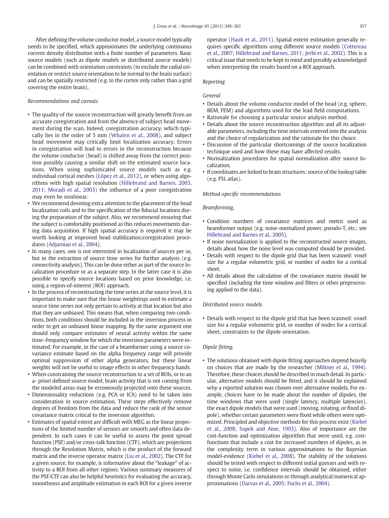After defining the volume conductor model, a source model typically needs to be specified, which approximates the underlying continuous current density distribution with a finite number of parameters. Basic source models (such as dipole models or distributed source models) can be combined with orientation constraints (to exclude the radial orientation or restrict source orientation to be normal to the brain surface) and can be spatially restricted (e.g. to the cortex only rather than a grid covering the entire brain).

#### Recommendations and caveats

- The quality of the source reconstruction will greatly benefit from an accurate coregistration and from the absence of subject head movement during the scan. Indeed, coregistration accuracy, which typically lies in the order of 5 mm [\(Whalen et al., 2008\)](#page-15-0), and subject head movement may critically limit localization accuracy. Errors in coregistration will lead to errors in the reconstruction because the volume conductor (head) is shifted away from the correct position possibly causing a similar shift on the estimated source locations. When using sophisticated source models such as e.g. individual cortical meshes [\(López et al., 2012](#page-15-0)), or when using algorithms with high spatial resolution [\(Hillebrand and Barnes, 2003,](#page-14-0) [2011; Moradi et al., 2003\)](#page-14-0) the influence of a poor coregistration may even be nonlinear.
- We recommend devoting extra attention to the placement of the head localization coils and to the specification of the fiducial locations during the preparation of the subject. Also, we recommend ensuring that the subject is comfortably positioned as this reduces movements during data acquisition. If high spatial accuracy is required it may be worth looking at improved head stabilization/coregistration procedures ([Adjamian et al., 2004](#page-14-0)).
- In many cases, one is not interested in localization of sources per se, but in the extraction of source time series for further analysis (e.g. connectivity analysis). This can be done either as part of the source localization procedure or as a separate step. In the latter case it is also possible to specify source locations based on prior knowledge, i.e. using a region-of-interest (ROI) approach.
- In the process of reconstructing the time series at the source level, it is important to make sure that the linear weightings used to estimate a source time series not only pertain to activity at that location but also that they are unbiased. This means that, when comparing two conditions, both conditions should be included in the inversion process in order to get an unbiased linear mapping. By the same argument one should only compare estimates of neural activity within the same time–frequency window for which the inversion parameters were estimated. For example, in the case of a beamformer using a source covariance estimate based on the alpha frequency range will provide optimal suppression of other alpha generators, but these linear weights will not be useful to image effects in other frequency bands.
- When constraining the source reconstruction to a set of ROIs, or to an a- priori defined source model, brain activity that is not coming from the modeled areas may be erroneously projected onto these sources.
- Dimensionality reductions (e.g. PCA or ICA) need to be taken into consideration in source estimation. These steps effectively remove degrees of freedom from the data and reduce the rank of the sensor covariance matrix critical to the inversion algorithm.
- Estimates of spatial extent are difficult with MEG as the linear projections of the limited number of sensors are smooth and often data dependent. In such cases it can be useful to assess the point spread function (PSF) and/or cross-talk function (CTF), which are projections through the Resolution Matrix, which is the product of the forward matrix and the inverse operator matrix [\(Liu et al., 2002\)](#page-15-0). The CTF for a given source, for example, is informative about the "leakage" of activity to a ROI from all other regions. Various summary measures of the PSF/CTF can also be helpful heuristics for evaluating the accuracy, smoothness and amplitude estimation in each ROI for a given inverse

operator ([Hauk et al., 2011](#page-14-0)). Spatial extent estimation generally requires specific algorithms using different source models [\(Cottereau](#page-14-0) [et al., 2007; Hillebrand and Barnes, 2011; Jerbi et al., 2002](#page-14-0)). This is a critical issue that needs to be kept in mind and possibly acknowledged when interpreting the results based on a ROI approach.

#### Reporting

### General

- Details about the volume conductor model of the head (e.g. sphere, BEM, FEM) and algorithms used for the lead field computations.
- Rationale for choosing a particular source analysis method.
- Details about the source reconstruction algorithm and all its adjustable parameters, including the time intervals entered into the analysis and the choice of regularization and the rationale for this choice.
- Discussion of the particular shortcomings of the source localization technique used and how these may have affected results.
- Normalization procedures for spatial normalization after source localization.
- If coordinates are linked to brain structures: source of the lookup table (e.g. FSL atlas).

#### Method-specific recommendations

#### Beamforming.

- Condition numbers of covariance matrices and metric used as beamformer output (e.g. noise-normalized power, pseudo-T, etc.; see [Hillebrand and Barnes et al., 2005\)](#page-14-0).
- If noise normalization is applied to the reconstructed source images, details about how the noise level was computed should be provided.
- Details with respect to the dipole grid that has been scanned: voxel size for a regular volumetric grid, or number of nodes for a cortical sheet.
- All details about the calculation of the covariance matrix should be specified (including the time window and filters or other preprocessing applied to the data).

#### Distributed source models.

• Details with respect to the dipole grid that has been scanned: voxel size for a regular volumetric grid, or number of nodes for a cortical sheet, constraints to the dipole orientation.

#### Dipole fitting.

• The solutions obtained with dipole fitting approaches depend heavily on choices that are made by the researcher [\(Miltner et al., 1994](#page-15-0)). Therefore, these choices should be described in much detail. In particular, alternative models should be fitted, and it should be explained why a reported solution was chosen over alternative models. For example, choices have to be made about the number of dipoles, the time windows that were used (single latency, multiple latencies), the exact dipole models that were used (moving, rotating, or fixed dipole), whether certain parameters were fixed while others were optimized. Principled and objective methods for this process exist [\(Kiebel](#page-14-0) [et al., 2008; Supek and Aine, 1993\)](#page-14-0). Also of importance are the cost-function and optimization algorithm that were used, e.g. costfunctions that include a cost for increased numbers of dipoles, as in the complexity term in various approximations to the Bayesian model-evidence [\(Kiebel et al., 2008\)](#page-14-0). The stability of the solutions should be tested with respect to different initial guesses and with respect to noise, i.e. confidence intervals should be obtained, either through Monte Carlo simulations or through analytical/numerical approximations [\(Darvas et al., 2005; Fuchs et al., 2004](#page-14-0)).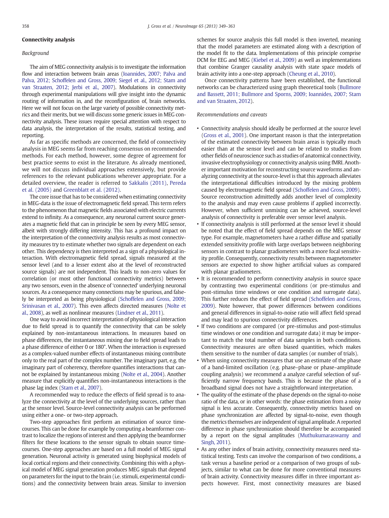#### <span id="page-10-0"></span>Connectivity analysis

#### Background

The aim of MEG connectivity analysis is to investigate the information flow and interaction between brain areas ([Ioannides, 2007; Palva and](#page-14-0) Palva, 2012; Schoffelen and Gross, [2009; Siegel et al., 2012; Stam and](#page-14-0) [van Straaten, 2012; Jerbi et al., 2007](#page-14-0)). Modulations in connectivity through experimental manipulations will give insight into the dynamic routing of information in, and the reconfiguration of, brain networks. Here we will not focus on the large variety of possible connectivity metrics and their merits, but we will discuss some generic issues in MEG connectivity analysis. These issues require special attention with respect to data analysis, the interpretation of the results, statistical testing, and reporting.

As far as specific methods are concerned, the field of connectivity analysis in MEG seems far from reaching consensus on recommended methods. For each method, however, some degree of agreement for best practice seems to exist in the literature. As already mentioned, we will not discuss individual approaches extensively, but provide references to the relevant publications wherever appropriate. For a detailed overview, the reader is referred to [Sakkalis \(2011\)](#page-15-0), [Pereda](#page-15-0) [et al. \(2005\)](#page-15-0) and [Greenblatt et al. \(2012\).](#page-14-0)

The core issue that has to be considered when estimating connectivity in MEG-data is the issue of electromagnetic field spread. This term refers to the phenomenon that magnetic fields associated with electric currents extend to infinity. As a consequence, any neuronal current source generates a magnetic field that can in principle be seen by every MEG sensor, albeit with strongly differing intensity. This has a profound impact on the interpretation of the connectivity analysis results as most connectivity measures try to estimate whether two signals are dependent on each other. This dependency is then interpreted as a sign of a physiological interaction. With electromagnetic field spread, signals measured at the sensor level (and to a lesser extent also at the level of reconstructed source signals) are not independent. This leads to non-zero values for correlation (or most other functional connectivity metrics) between any two sensors, even in the absence of 'connected' underlying neuronal sources. As a consequence many connections may be spurious, and falsely be interpreted as being physiological [\(Schoffelen and Gross, 2009;](#page-15-0) [Srinivasan et al., 2007\)](#page-15-0). This even affects directed measures ([Nolte et](#page-15-0) [al., 2008\)](#page-15-0), as well as nonlinear measures [\(Lindner et al., 2011\)](#page-14-0).

One way to avoid incorrect interpretation of physiological interaction due to field spread is to quantify the connectivity that can be solely explained by non-instantaneous interactions. In measures based on phase differences, the instantaneous mixing due to field spread leads to a phase difference of either 0 or 180°. When the interaction is expressed as a complex-valued number effects of instantaneous mixing contribute only to the real part of the complex number. The imaginary part, e.g. the imaginary part of coherency, therefore quantifies interactions that cannot be explained by instantaneous mixing ([Nolte et al., 2004\)](#page-15-0). Another measure that explicitly quantifies non-instantaneous interactions is the phase lag index ([Stam et al., 2007\)](#page-15-0).

A recommended way to reduce the effects of field spread is to analyze the connectivity at the level of the underlying sources, rather than at the sensor level. Source-level connectivity analysis can be performed using either a one- or two-step approach.

Two-step approaches first perform an estimation of source timecourses. This can be done for example by computing a beamformer contrast to localize the regions of interest and then applying the beamformer filters for these locations to the sensor signals to obtain source timecourses. One-step approaches are based on a full model of MEG signal generation. Neuronal activity is generated using biophysical models of local cortical regions and their connectivity. Combining this with a physical model of MEG signal generation produces MEG signals that depend on parameters for the input to the brain (i.e. stimuli, experimental conditions) and the connectivity between brain areas. Similar to inversion schemes for source analysis this full model is then inverted, meaning that the model parameters are estimated along with a description of the model fit to the data. Implementations of this principle comprise DCM for EEG and MEG [\(Kiebel et al., 2009\)](#page-14-0) as well as implementations that combine Granger causality analysis with state space models of brain activity into a one-step approach [\(Cheung et al., 2010\)](#page-14-0).

Once connectivity patterns have been established, the functional networks can be characterized using graph theoretical tools [\(Bullmore](#page-14-0) [and Bassett, 2011; Bullmore and Sporns, 2009; Ioannides, 2007; Stam](#page-14-0) [and van Straaten, 2012](#page-14-0)).

#### Recommendations and caveats

- Connectivity analysis should ideally be performed at the source level ([Gross et al., 2001](#page-14-0)). One important reason is that the interpretation of the estimated connectivity between brain areas is typically much easier than at the sensor level and can be related to studies from other fields of neuroscience such as studies of anatomical connectivity, invasive electrophysiology or connectivity analysis using fMRI. Another important motivation for reconstructing source waveforms and analyzing connectivity at the source-level is that this approach alleviates the interpretational difficulties introduced by the mixing problem caused by electromagnetic field spread [\(Schoffelen and Gross, 2009\)](#page-15-0). Source reconstruction admittedly adds another level of complexity to the analysis and may even cause problems if applied incorrectly. However, when sufficient unmixing can be achieved, source-level analysis of connectivity is preferable over sensor level analysis.
- If connectivity analysis is still performed at the sensor level it should be noted that the effect of field spread depends on the MEG sensor type. For example, magnetometers have a rather diffuse and spatially extended sensitivity profile with large overlaps between neighboring sensors in contrast to planar gradiometers with a more focal sensitivity profile. Consequently, connectivity results between magnetometer sensors are expected to show higher artificial values as compared with planar gradiometers.
- It is recommended to perform connectivity analysis in source space by contrasting two experimental conditions (or pre-stimulus and post-stimulus time windows or one condition and surrogate data). This further reduces the effect of field spread [\(Schoffelen and Gross,](#page-15-0) [2009](#page-15-0)). Note however, that power differences between conditions and general differences in signal-to-noise ratio will affect field spread and may lead to spurious connectivity differences.
- If two conditions are compared (or pre-stimulus and post-stimulus time windows or one condition and surrogate data) it may be important to match the total number of data samples in both conditions. Connectivity measures are often biased quantities, which makes them sensitive to the number of data samples (or number of trials).
- When using connectivity measures that use an estimate of the phase of a band-limited oscillation (e.g. phase–phase or phase–amplitude coupling analysis) we recommend a analyze careful selection of sufficiently narrow frequency bands. This is because the phase of a broadband signal does not have a straightforward interpretation.
- The quality of the estimate of the phase depends on the signal-to-noise ratio of the data, or in other words: the phase estimation from a noisy signal is less accurate. Consequently, connectivity metrics based on phase synchronization are affected by signal-to-noise, even though the metrics themselves are independent of signal amplitude. A reported difference in phase synchronization should therefore be accompanied by a report on the signal amplitudes [\(Muthukumaraswamy and](#page-15-0) [Singh, 2011](#page-15-0)).
- As any other index of brain activity, connectivity measures need statistical testing. Tests can involve the comparison of two conditions, a task versus a baseline period or a comparison of two groups of subjects, similar to what can be done for more conventional measures of brain activity. Connectivity measures differ in three important aspects however. First, most connectivity measures are biased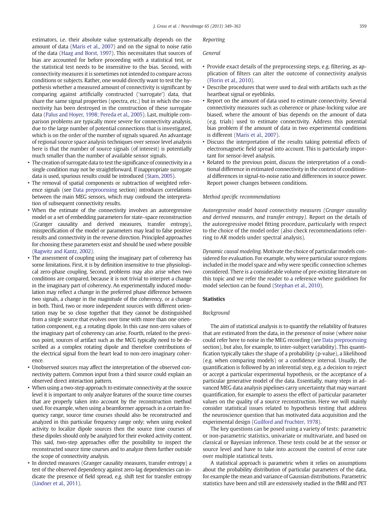<span id="page-11-0"></span>estimators, i.e. their absolute value systematically depends on the amount of data ([Maris et al., 2007](#page-15-0)) and on the signal to noise ratio of the data [\(Haag and Borst, 1997\)](#page-14-0). This necessitates that sources of bias are accounted for before proceeding with a statistical test, or the statistical test needs to be insensitive to the bias. Second, with connectivity measures it is sometimes not intended to compare across conditions or subjects. Rather, one would directly want to test the hypothesis whether a measured amount of connectivity is significant by comparing against artificially constructed ('surrogate') data, that share the same signal properties (spectra, etc.) but in which the connectivity has been destroyed in the construction of these surrogate data ([Palus and Hoyer, 1998; Pereda et al., 2005](#page-15-0)). Last, multiple comparison problems are typically more severe for connectivity analysis, due to the large number of potential connections that is investigated, which is on the order of the number of signals squared. An advantage of regional source space analysis techniques over sensor level analysis here is that the number of source signals (of interest) is potentially much smaller than the number of available sensor signals.

- The creation of surrogate data to test the significance of connectivity in a single condition may not be straightforward. If inappropriate surrogate data is used, spurious results could be introduced [\(Stam, 2005](#page-15-0)).
- The removal of spatial components or subtraction of weighted reference signals (see [Data preprocessing](#page-4-0) section) introduces correlations between the main MEG sensors, which may confound the interpretation of subsequent connectivity results.
- When the estimate of the connectivity involves an autoregressive model or a set of embedding parameters for state–space reconstruction (Granger causality and derived measures, transfer entropy), misspecification of the model or parameters may lead to false positive results and connectivity in the reverse direction. Principled approaches for choosing these parameters exist and should be used where possible [\(Ragwitz and Kantz, 2002](#page-15-0)).
- The assessment of coupling using the imaginary part of coherency has some limitations. First, it is by definition insensitive to true physiological zero-phase coupling. Second, problems may also arise when two conditions are compared, because it is not trivial to interpret a change in the imaginary part of coherency. An experimentally induced modulation may reflect a change in the preferred phase difference between two signals, a change in the magnitude of the coherency, or a change in both. Third, two or more independent sources with different orientation may be so close together that they cannot be distinguished from a single source that evolves over time with more than one orientation component, e.g. a rotating dipole. In this case non-zero values of the imaginary part of coherency can arise. Fourth, related to the previous point, sources of artifact such as the MCG typically need to be described as a complex rotating dipole and therefore contributions of the electrical signal from the heart lead to non-zero imaginary coherence.
- Unobserved sources may affect the interpretation of the observed connectivity pattern. Common input from a third source could explain an observed direct interaction pattern.
- When using a two-step approach to estimate connectivity at the source level it is important to only analyze features of the source time courses that are properly taken into account by the reconstruction method used. For example, when using a beamformer approach in a certain frequency range, source time courses should also be reconstructed and analyzed in this particular frequency range only; when using evoked activity to localize dipole sources then the source time courses of these dipoles should only be analyzed for their evoked activity content. This said, two-step approaches offer the possibility to inspect the reconstructed source time courses and to analyze them further outside the scope of connectivity analysis.
- In directed measures (Granger causality measures, transfer entropy) a test of the observed dependency against zero-lag dependencies can indicate the presence of field spread, e.g. shift test for transfer entropy [\(Lindner et al., 2011](#page-14-0)).

#### Reporting

#### General

- Provide exact details of the preprocessing steps, e.g. filtering, as application of filters can alter the outcome of connectivity analysis ([Florin et al., 2010](#page-14-0)).
- Describe procedures that were used to deal with artifacts such as the heartbeat signal or eyeblinks.
- Report on the amount of data used to estimate connectivity. Several connectivity measures such as coherence or phase-locking value are biased, where the amount of bias depends on the amount of data (e.g. trials) used to estimate connectivity. Address this potential bias problem if the amount of data in two experimental conditions is different ([Maris et al., 2007](#page-15-0)).
- Discuss the interpretation of the results taking potential effects of electromagnetic field spread into account. This is particularly important for sensor-level analysis.
- Related to the previous point, discuss the interpretation of a conditional difference in estimated connectivity in the context of conditional differences in signal-to-noise ratio and differences in source power. Report power changes between conditions.

#### Method specific recommendations

Autoregressive model based connectivity measures (Granger causality and derived measures, and transfer entropy). Report on the details of the autoregressive model fitting procedure, particularly with respect to the choice of the model order (also check recommendations referring to AR models under spectral analysis).

Dynamic causal modeling. Motivate the choice of particular models considered for evaluation. For example, why were particular source regions included in the model space and why were specific connection schemes considered. There is a considerable volume of pre-existing literature on this topic and we refer the reader to a reference where guidelines for model selection can be found [\(Stephan et al., 2010](#page-15-0)).

#### **Statistics**

#### Background

The aim of statistical analysis is to quantify the reliability of features that are estimated from the data, in the presence of noise (where noise could refer here to noise in the MEG recording (see [Data preprocessing](#page-4-0) section), but also, for example, to inter-subject variability). This quantification typically takes the shape of a probability (p-value), a likelihood (e.g. when comparing models) or a confidence interval. Usually, the quantification is followed by an inferential step, e.g. a decision to reject or accept a particular experimental hypothesis, or the acceptance of a particular generative model of the data. Essentially, many steps in advanced MEG data analysis pipelines carry uncertainty that may warrant quantification, for example to assess the effect of particular parameter values on the quality of a source reconstruction. Here we will mainly consider statistical issues related to hypothesis testing that address the neuroscience question that has motivated data acquisition and the experimental design ([Guilford and Fruchter, 1978](#page-14-0)).

The key questions can be posed using a variety of tests: parametric or non-parametric statistics, univariate or multivariate, and based on classical or Bayesian inference. These tests could be at the sensor or source level and have to take into account the control of error rate over multiple statistical tests.

A statistical approach is parametric when it relies on assumptions about the probability distribution of particular parameters of the data, for example the mean and variance of Gaussian distributions. Parametric statistics have been and still are extensively studied in the fMRI and PET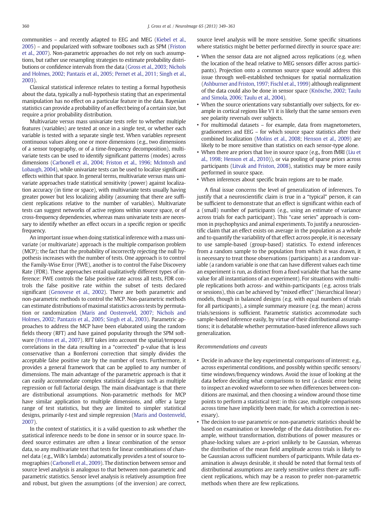communities – and recently adapted to EEG and MEG ([Kiebel et al.,](#page-14-0) [2005](#page-14-0)) – and popularized with software toolboxes such as SPM ([Friston](#page-14-0) [et al., 2007\)](#page-14-0). Non-parametric approaches do not rely on such assumptions, but rather use resampling strategies to estimate probability distributions or confidence intervals from the data ([Gross et al., 2003; Nichols](#page-14-0) [and Holmes, 2002; Pantazis et al., 2005; Pernet et al., 2011; Singh et al.,](#page-14-0) [2003](#page-14-0)).

Classical statistical inference relates to testing a formal hypothesis about the data, typically a null-hypothesis stating that an experimental manipulation has no effect on a particular feature in the data. Bayesian statistics can provide a probability of an effect being of a certain size, but require a prior probability distribution.

Multivariate versus mass univariate tests refer to whether multiple features (variables) are tested at once in a single test, or whether each variable is tested with a separate single test. When variables represent continuous values along one or more dimensions (e.g., two dimensions of a sensor topography, or of a time-frequency decomposition), multivariate tests can be used to identify significant patterns (modes) across dimensions ([Carbonell et al., 2004; Friston et al., 1996; McIntosh and](#page-14-0) [Lobaugh, 2004\)](#page-14-0), while univariate tests can be used to localize significant effects within that space. In general terms, multivariate versus mass univariate approaches trade statistical sensitivity (power) against localization accuracy (in time or space), with multivariate tests usually having greater power but less localizing ability (assuming that there are sufficient replications relative to the number of variables). Multivariate tests can suggest networks of active regions within source space, or of cross-frequency dependencies, whereas mass univariate tests are necessary to identify whether an effect occurs in a specific region or specific frequency.

An important issue when doing statistical inference with a mass univariate (or multivariate) approach is the multiple comparison problem (MCP); the fact that the probability of incorrectly rejecting the null hypothesis increases with the number of tests. One approach is to control the Family-Wise Error (FWE), another is to control the False Discovery Rate (FDR). These approaches entail qualitatively different types of inference: FWE controls the false positive rate across all tests, FDR controls the false positive rate within the subset of tests declared significant [\(Genovese et al., 2002](#page-14-0)). There are both parametric and non-parametric methods to control the MCP. Non-parametric methods can estimate distributions of maximal statistics across tests by permutation or randomization [\(Maris and Oostenveld, 2007; Nichols and](#page-15-0) [Holmes, 2002; Pantazis et al., 2005; Singh et al., 2003\)](#page-15-0). Parametric approaches to address the MCP have been elaborated using the random fields theory (RFT) and have gained popularity through the SPM software [\(Friston et al., 2007\)](#page-14-0). RFT takes into account the spatial/temporal correlations in the data resulting in a "corrected" p-value that is less conservative than a Bonferroni correction that simply divides the acceptable false positive rate by the number of tests. Furthermore, it provides a general framework that can be applied to any number of dimensions. The main advantage of the parametric approach is that it can easily accommodate complex statistical designs such as multiple regression or full factorial design. The main disadvantage is that there are distributional assumptions. Non-parametric methods for MCP have similar application to multiple dimensions, and offer a large range of test statistics, but they are limited to simpler statistical designs, primarily t-test and simple regression [\(Maris and Oostenveld,](#page-15-0) [2007\)](#page-15-0).

In the context of statistics, it is a valid question to ask whether the statistical inference needs to be done in sensor or in source space. Indeed source estimates are often a linear combination of the sensor data, so any multivariate test that tests for linear combinations of channel data (e.g., Wilk's lambda) automatically provides a test of source tomographies ([Carbonell et al., 2009\)](#page-14-0). The distinction between sensor and source level analysis is analogous to that between non-parametric and parametric statistics. Sensor level analysis is relatively assumption free and robust, but given the assumptions (of the inversion) are correct, source level analysis will be more sensitive. Some specific situations where statistics might be better performed directly in source space are:

- When the sensor data are not aligned across replications (e.g. when the location of the head relative to MEG sensors differ across participants). Projection onto a common source space would address this issue through well-established techniques for spatial normalization ([Ashburner and Friston, 1997; Fischl et al., 1999](#page-14-0)) although realignment of the data could also be done in sensor space [\(Knösche, 2002; Taulu](#page-14-0) [and Simola, 2006; Taulu et al., 2004\)](#page-14-0).
- When the source orientations vary substantially over subjects, for example in cortical regions like V1 it is likely that the same sensors even see polarity reversals over subjects.
- For multimodal datasets for example, data from magnetometers, gradiometers and EEG – for which source space statistics after their combined localization ([Molins et al., 2008;](#page-15-0) [Henson et al., 2009](#page-14-0)) are likely to be more sensitive than statistics on each sensor-type alone.
- When there are priors that live in source space (e.g., from fMRI [\(Liu et](#page-14-0) [al., 1998; Henson et al., 2010](#page-14-0))), or via pooling of sparse priors across participants [\(Litvak and Friston, 2008\)](#page-14-0), statistics may be more easily performed in source space.
- When inferences about specific brain regions are to be made.

A final issue concerns the level of generalization of inferences. To justify that a neuroscientific claim is true in a "typical" person, it can be sufficient to demonstrate that an effect is significant within each of a (small) number of participants (e.g., using an estimate of variance across trials for each participant). This "case series" approach is common in psychophysics and animal experiments. To justify a neuroscientific claim that an effect exists on average in the population as a whole and to quantify the variability of that effect across people, it is necessary to use sample-based (group-based) statistics. To extend inferences from a random sample to the population from which it was drawn, it is necessary to treat those observations (participants) as a random variable (a random variable is one that can have different values each time an experiment is run, as distinct from a fixed variable that has the same value for all instantiations of an experiment). For situations with multiple replications both across- and within-participants (e.g. across trials or sessions), this can be achieved by "mixed effect" (hierarchical linear) models, though in balanced designs (e.g. with equal numbers of trials for all participants), a simple summary measure (e.g. the mean) across trials/sessions is sufficient. Parametric statistics accommodate such sample-based inference easily, by virtue of their distributional assumptions; it is debatable whether permutation-based inference allows such generalization.

#### Recommendations and caveats

- Decide in advance the key experimental comparisons of interest: e.g., across experimental conditions, and possibly within specific sensors/ time windows/frequency windows. Avoid the issue of looking at the data before deciding what comparisons to test (a classic error being to inspect an evoked waveform to see when differences between conditions are maximal, and then choosing a window around those time points to perform a statistical test: in this case, multiple comparisons across time have implicitly been made, for which a correction is necessary).
- The decision to use parametric or non-parametric statistics should be based on examination or knowledge of the data distribution. For example, without transformation, distributions of power measures or phase-locking values are a-priori unlikely to be Gaussian, whereas the distribution of the mean field amplitude across trials is likely to be Gaussian across sufficient numbers of participants. While data examination is always desirable, it should be noted that formal tests of distributional assumptions are rarely sensitive unless there are sufficient replications, which may be a reason to prefer non-parametric methods when there are few replications.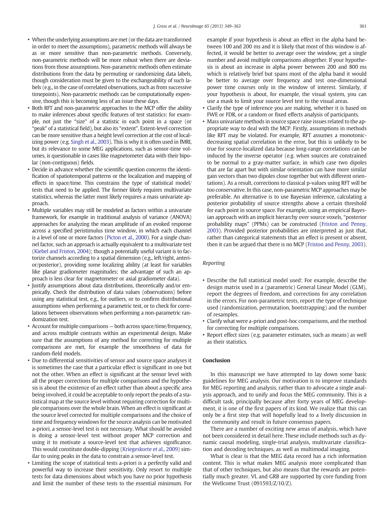- When the underlying assumptions are met (or the data are transformed in order to meet the assumptions), parametric methods will always be as or more sensitive than non-parametric methods. Conversely, non-parametric methods will be more robust when there are deviations from those assumptions. Non-parametric methods often estimate distributions from the data by permuting or randomizing data labels, though consideration must be given to the exchangeability of such labels (e.g., in the case of correlated observations, such as from successive timepoints). Non-parametric methods can be computationally expensive, though this is becoming less of an issue these days.
- Both RFT and non-parametric approaches to the MCP offer the ability to make inferences about specific features of test statistics: for example, not just the "size" of a statistic in each point in a space (or "peak" of a statistical field), but also its "extent". Extent-level correction can be more sensitive than a height level correction at the cost of localizing power (e.g. [Singh et al., 2003](#page-15-0)). This is why it is often used in fMRI, but its relevance to some MEG applications, such as sensor-time volumes, is questionable in cases like magnetometer data with their bipolar (non-contiguous) fields.
- Decide in advance whether the scientific question concerns the identification of spatiotemporal patterns or the localization and mapping of effects in space/time. This constrains the type of statistical model/ tests that need to be applied. The former likely requires multivariate statistics, whereas the latter most likely requires a mass univariate approach.
- Multiple variables may still be modeled as factors within a univariate framework, for example in traditional analysis of variance (ANOVA) approaches for analyzing the mean amplitude of an evoked response across a specified peristimulus time window, in which each channel is a level of one or more factors ([Picton et al., 2000\)](#page-15-0). For a single channel factor, such an approach is actually equivalent to a multivariate test [\(Kiebel and Friston, 2004\)](#page-14-0); though a potentially useful variant is to factorize channels according to a spatial dimension (e.g., left/right, anterior/posterior), providing some localizing ability (at least for variables like planar gradiometer magnitudes; the advantage of such an approach is less clear for magnetometer or axial gradiometer data).
- Justify assumptions about data distributions, theoretically and/or empirically. Check the distribution of data values (observations) before using any statistical test, e.g., for outliers, or to confirm distributional assumptions when performing a parametric test, or to check for correlations between observations when performing a non-parametric randomization test.
- Account for multiple comparisons both across space/time/frequency, and across multiple contrasts within an experimental design. Make sure that the assumptions of any method for correcting for multiple comparisons are met, for example the smoothness of data for random-field models.
- Due to differential sensitivities of sensor and source space analyses it is sometimes the case that a particular effect is significant in one but not the other. When an effect is significant at the sensor level with all the proper corrections for multiple comparisons and the hypothesis is about the existence of an effect rather than about a specific area being involved, it could be acceptable to only report the peaks of a statistical map at the source level without requiring correction for multiple comparisons over the whole brain. When an effect is significant at the source level corrected for multiple comparisons and the choice of time and frequency windows for the source analysis can be motivated a-priori, a sensor-level test is not necessary. What should be avoided is doing a sensor-level test without proper MCP correction and using it to motivate a source-level test that achieves significance. This would constitute double-dipping [\(Kriegeskorte et al., 2009](#page-14-0)) similar to using peaks in the data to constrain a sensor-level test.
- Limiting the scope of statistical tests a-priori is a perfectly valid and powerful way to increase their sensitivity. Only resort to multiple tests for data dimensions about which you have no prior hypothesis and limit the number of these tests to the essential minimum. For

example if your hypothesis is about an effect in the alpha band between 100 and 200 ms and it is likely that most of this window is affected, it would be better to average over the window, get a single number and avoid multiple comparisons altogether. If your hypothesis is about an increase in alpha power between 200 and 800 ms which is relatively brief but spans most of the alpha band it would be better to average over frequency and test one-dimensional power time courses only in the window of interest. Similarly, if your hypothesis is about, for example, the visual system, you can use a mask to limit your source level test to the visual areas.

- Clarify the type of inference you are making, whether it is based on FWE or FDR, or a random or fixed effects analysis of participants.
- Mass univariate methods in source space raise issues related to the appropriate way to deal with the MCP. Firstly, assumptions in methods like RFT may be violated. For example, RFT assumes a monotonicdecreasing spatial correlation in the error, but this is unlikely to be true for source-localized data because long-range correlations can be induced by the inverse operator (e.g. when sources are constrained to be normal to a gray-matter surface, in which case two dipoles that are far apart but with similar orientation can have more similar gain vectors than two dipoles close together but with different orientations). As a result, corrections to classical p-values using RFT will be too conservative. In this case, non-parametric MCP approaches may be preferable. An alternative is to use Bayesian inference, calculating a posterior probability of source strengths above a certain threshold for each point in source space. For example, using an empirical Bayesian approach with an implicit hierarchy over source voxels, "posterior probability maps" (PPMs) can be constructed ([Friston and Penny,](#page-14-0) [2003\)](#page-14-0). Provided posterior probabilities are interpreted as just that, rather than categorical statements that an effect is present or absent, then it can be argued that there is no MCP [\(Friston and Penny, 2003](#page-14-0)).

#### Reporting

- Describe the full statistical model used: For example, describe the design matrix used in a (parametric) General Linear Model (GLM), report the degrees of freedom, and corrections for any correlation in the errors. For non-parametric tests, report the type of technique used (randomization, permutation, bootstrapping) and the number of resamples.
- Clarify what were a-priori and post-hoc comparisons, and the method for correcting for multiple comparisons.
- Report effect sizes (e.g. parameter estimates, such as means) as well as their statistics.

#### **Conclusion**

In this manuscript we have attempted to lay down some basic guidelines for MEG analysis. Our motivation is to improve standards for MEG reporting and analysis, rather than to advocate a single analysis approach, and to unify and focus the MEG community. This is a difficult task, principally because after forty years of MEG development, it is one of the first papers of its kind. We realize that this can only be a first step that will hopefully lead to a lively discussion in the community and result in future consensus papers.

There are a number of exciting new areas of analysis, which have not been considered in detail here. These include methods such as dynamic causal modeling, single-trial analysis, multivariate classification and decoding techniques, as well as multimodal imaging.

What is clear is that the MEG data record has a rich information content. This is what makes MEG analysis more complicated than that of other techniques, but also means that the rewards are potentially much greater. VL and GRB are supported by core funding from the Wellcome Trust (091593/Z/10/Z).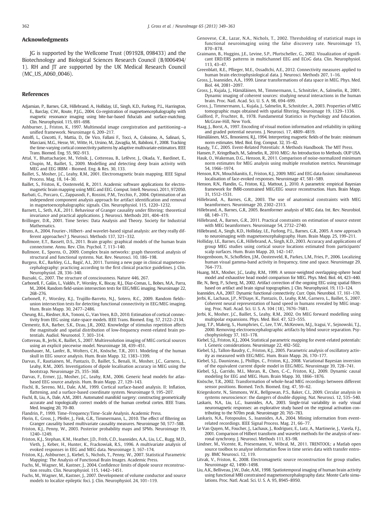#### <span id="page-14-0"></span>Acknowledgments

JG is supported by the Wellcome Trust (091928, 098433) and the Biotechnology and Biological Sciences Research Council (B/I006494/ 1). RH and JT are supported by the UK Medical Research Council (MC\_US\_A060\_0046).

#### References

- Adjamian, P., Barnes, G.R., Hillebrand, A., Holliday, I.E., Singh, K.D., Furlong, P.L., Harrington, E., Barclay, C.W., Route, P.J.G., 2004. Co-registration of magnetoencephalography with magnetic resonance imaging using bite-bar-based fiducials and surface-matching. Clin. Neurophysiol. 115, 691–698.
- Ashburner, J., Friston, K., 1997. Multimodal image coregistration and partitioning—a unified framework. Neuroimage 6, 209–217.
- Astolfi, L., Cincotti, F., Mattia, D., De Vico, Fallani F., Tocci, A., Colosimo, A., Salinari, S., Marciani, M.G., Hesse, W., Witte, H., Ursino, M., Zavaglia, M., Babiloni, F., 2008. Tracking the time-varying cortical connectivity patterns by adaptive multivariate estimators. IEEE Trans. Biomed. Eng. 55, 902–913.
- Attal, Y., Bhattacharjee, M., Yelnik, J., Cottereau, B., Lefèvre, J., Okada, Y., Bardinet, E., Chupin, M., Baillet, S., 2009. Modelling and detecting deep brain activity with MEG and EEG IRBM - Biomed. Eng. & Res. 30, 133.
- Baillet, S., Mosher, J.C., Leahy, R.M., 2001. Electromagnetic brain mapping. IEEE Signal Process. Mag. 18, 14–30.
- Baillet, S., Friston, K., Oostenveld, R., 2011. Academic software applications for electromagnetic brain mapping using MEG and EEG. Comput. Intell. Neurosci. 2011, 972050.
- Barbati, G., Porcaro, C., Zappasodi, F., Rossini, P.M., Tecchio, F., 2004. Optimisation of an independent component analysis approach for artifact identification and removal in magnetoencephalographic signals. Clin. Neurophysiol. 115, 1220–1232.
- Barnett, L., Seth, A.K., 2011. Behaviour of Granger causality under filtering: theoretical invariance and practical applications. J. Neurosci. Methods 201, 404–419.
- Brillinger, D.R., 2001. Time Series: Data Analysis and Theory. Society for Industrial Mathematics.
- Bruns, A., 2004. Fourier-, Hilbert- and wavelet-based signal analysis: are they really different approaches? J. Neurosci. Methods 137, 321–332.
- Bullmore, E.T., Bassett, D.S., 2011. Brain graphs: graphical models of the human brain connectome. Annu. Rev. Clin. Psychol. 7, 113–140.
- Bullmore, E., Sporns, O., 2009. Complex brain networks: graph theoretical analysis of structural and functional systems. Nat. Rev. Neurosci. 10, 186–198.
- Burgess, R.C., Barkley, G.L., Bagić, A.I., 2011. Turning a new page in clinical magnetoencephalography: practicing according to the first clinical practice guidelines. J. Clin. Neurophysiol. 28, 336–340.

Buzsaki, G., 2007. The structure of consciousness. Nature 446, 267.

- Carbonell, F., Galán, L., Valdés, P., Worsley, K., Biscay, R.J., Díaz-Comas, L., Bobes, M.A., Parra, M., 2004. Random field-union intersection tests for EEG/MEG imaging. Neuroimage 22, 268–276.
- Carbonell, F., Worsley, K.J., Trujillo-Barreto, N.J., Sotero, R.C., 2009. Random fields– union intersection tests for detecting functional connectivity in EEG/MEG imaging. Hum. Brain Mapp. 30, 2477–2486.
- Cheung, B.L., Riedner, B.A., Tononi, G., Van Veen, B.D., 2010. Estimation of cortical connectivity from EEG using state-space models. IEEE Trans. Biomed. Eng. 57, 2122–2134.
- Clementz, B.A., Barber, S.K., Dzau, J.R., 2002. Knowledge of stimulus repetition affects the magnitude and spatial distribution of low-frequency event-related brain potentials. Audiol. Neurootol. 7, 303–314.
- Cottereau, B., Jerbi, K., Baillet, S., 2007. Multiresolution imaging of MEG cortical sources using an explicit piecewise model. Neuroimage 38, 439–451.
- Dannhauer, M., Lanfer, B., Wolters, C.H., Knösche, T.R., 2011. Modeling of the human skull in EEG source analysis. Hum. Brain Mapp. 32, 1383–1399.
- Darvas, F., Rautiainen, M., Pantazis, D., Baillet, S., Benali, H., Mosher, J.C., Garnero, L., Leahy, R.M., 2005. Investigations of dipole localisation accuracy in MEG using the bootstrap. Neuroimage 25, 355–368.
- Darvas, F., Ermer, J.J., Mosher, J.C., Leahy, R.M., 2006. Generic head models for atlasbased EEG source analysis. Hum. Brain Mapp. 27, 129–143.
- Fischl, B., Sereno, M.I., Dale, A.M., 1999. Cortical surface-based analysis. II: Inflation, flattening, and a surface-based coordinate system. Neuroimage 9, 195–207.
- Fischl, B., Liu, A., Dale, A.M., 2001. Automated manifold surgery: constructing geometrically accurate and topologically correct models of the human cerebral cortex. IEEE Trans. Med. Imaging 20, 70–80.
- Flandrin, P., 1999. Time–Frequency/Time–Scale Analysis. Academic Press.
- Florin, E., Gross, J., Pfeifer, J., Fink, G.R., Timmermann, L., 2010. The effect of filtering on Granger causality based multivariate causality measures. Neuroimage 50, 577–588. Friston, K.J., Penny, W., 2003. Posterior probability maps and SPMs. Neuroimage 19,
- 1240–1249. Friston, K.J., Stephan, K.M., Heather, J.D., Frith, C.D., Ioannides, A.A., Liu, L.C., Rugg, M.D.,
- Vieth, J., Keber, H., Hunter, K., Frackowiak, R.S., 1996. A multivariate analysis of evoked responses in EEG and MEG data. Neuroimage 3, 167–174.
- Friston, K.J., Ashburner, J., Kiebel, S., Nichols, T., Penny, W., 2007. Statistical Parametric Mapping: The Analysis of Functional Brain Images. Academic Press.
- Fuchs, M., Wagner, M., Kastner, J., 2004. Confidence limits of dipole source reconstruction results. Clin. Neurophysiol. 115, 1442–1451.
- Fuchs, M., Wagner, M., Kastner, J., 2007. Development of volume conductor and source models to localize epileptic foci. J. Clin. Neurophysiol. 24, 101–119.
- Genovese, C.R., Lazar, N.A., Nichols, T., 2002. Thresholding of statistical maps in functional neuroimaging using the false discovery rate. Neuroimage 15, 870–878.
- Graimann, B., Huggins, J.E., Levine, S.P., Pfurtscheller, G., 2002. Visualization of significant ERD/ERS patterns in multichannel EEG and ECoG data. Clin. Neurophysiol. 113, 43–47.
- Greenblatt, R.E., Pflieger, M.E., Ossadtchi, A.E., 2012. Connectivity measures applied to human brain electrophysiological data. J. Neurosci. Methods 207, 1–16.
- Gross, J., Ioannides, A.A., 1999. Linear transformations of data space in MEG. Phys. Med. Biol. 44, 2081–2097.
- Gross, J., Kujala, J., Hämäläinen, M., Timmermann, L., Schnitzler, A., Salmelin, R., 2001. Dynamic imaging of coherent sources: studying neural interactions in the human brain. Proc. Natl. Acad. Sci. U. S. A. 98, 694–699.
- Gross, J., Timmermann, L., Kujala, J., Salmelin, R., Schnitzler, A., 2003. Properties of MEG tomographic maps obtained with spatial filtering. Neuroimage 19, 1329–1336.
- Guilford, P., Fruchter, B., 1978. Fundamental Statistics in Psychology and Education. McGraw-Hill, New York.
- Haag, J., Borst, A., 1997. Encoding of visual motion information and reliability in spiking and graded potential neurons. J. Neurosci. 17, 4809–4819.
- Hämäläinen, M.S., Ilmoniemi, R.J., 1994. Interpreting magnetic fields of the brain: minimum norm estimates. Med. Biol. Eng. Comput. 32, 35–42.
- Handy, T.C., 2005. Event-Related Potentials: A Methods Handbook. The MIT Press.
- Hansen, P., Kringelbach, M., Salmelin, R., 2010. MEG: An Introduction to Methods. OUP USA. Hauk, O., Wakeman, D.G., Henson, R., 2011. Comparison of noise-normalized minimum norm estimates for MEG analysis using multiple resolution metrics. Neuroimage 54, 1966–1974.
- Henson, R.N., Mouchlianitis, E., Friston, K.J., 2009. MEG and EEG data fusion: simultaneous localisation of face-evoked responses. Neuroimage 47, 581–589.
- Henson, R.N., Flandin, G., Friston, K.J., Mattout, J., 2010. A parametric empirical Bayesian framework for fMRI-constrained MEG/EEG source reconstruction. Hum. Brain Mapp. 31, 1512–1531.
- Hillebrand, A., Barnes, G.R., 2003. The use of anatomical constraints with MEG beamformers. Neuroimage 20, 2302–2313.
- Hillebrand, A., Barnes, G.R., 2005. Beamformer analysis of MEG data. Int. Rev. Neurobiol. 68, 149–171.
- Hillebrand, A., Barnes, G.R., 2011. Practical constraints on estimation of source extent with MEG beamformers. Neuroimage 54, 2732–2740.

Hillebrand, A., Singh, K.D., Holliday, I.E., Furlong, P.L., Barnes, G.R., 2005. A new approach to neuroimaging with magnetoencephalography. Hum. Brain Mapp. 25, 199–211.

Holliday, I.E., Barnes, G.R., Hillebrand, A., Singh, K.D., 2003. Accuracy and applications of group MEG studies using cortical source locations estimated from participants' scalp surfaces. Hum. Brain Mapp. 20, 142–147.

- Hoogenboom, N., Schoffelen, J.M., Oostenveld, R., Parkes, L.M., Fries, P., 2006. Localizing human visual gamma-band activity in frequency, time and space. Neuroimage 29, 764–773.
- Huang, M.X., Mosher, J.C., Leahy, R.M., 1999. A sensor-weighted overlapping-sphere head model and exhaustive head model comparison for MEG. Phys. Med. Biol. 44, 423–440.
- Ille, N., Berg, P., Scherg, M., 2002. Artifact correction of the ongoing EEG using spatial filters based on artifact and brain signal topographies. J. Clin. Neurophysiol. 19, 113–124.

Ioannides, A.A., 2007. Dynamic functional connectivity. Curr. Opin. Neurobiol. 17, 161–170.

- Jerbi, K., Lachaux, J.P., N'Diaye, K., Pantazis, D., Leahy, R.M., Garnero, L., Baillet, S., 2007. Coherent neural representation of hand speed in humans revealed by MEG imaging. Proc. Natl. Acad. Sci. U. S. A. 104 (18), 7676–7681.
- Jerbi, K., Mosher, J.C., Baillet, S., Leahy, R.M., 2002. On MEG forward modelling using multipolar expansions. Phys. Med. Biol. 47, 523–555.
- Jung, T.P., Makeig, S., Humphries, C., Lee, T.W., McKeown, M.J., Iragui, V., Sejnowski, T.J., 2000. Removing electroencephalographic artifacts by blind source separation. Psychophysiology 37, 163–178.
- Kiebel, S.J., Friston, K.J., 2004. Statistical parametric mapping for event-related potentials: I. Generic considerations. Neuroimage 22, 492–502.
- Kiebel, S.J., Tallon-Baudry, C., Friston, K.J., 2005. Parametric analysis of oscillatory activity as measured with EEG/MEG. Hum. Brain Mapp. 26, 170–177.
- Kiebel, S.J., Daunizeau, J., Phillips, C., Friston, K.J., 2008. Variational Bayesian inversion of the equivalent current dipole model in EEG/MEG. Neuroimage 39, 728–741.
- Kiebel, S.J., Garrido, M.I., Moran, R., Chen, C.-C., Friston, K.J., 2009. Dynamic causal modeling for EEG and MEG. Hum. Brain Mapp. 30, 1866–1876.
- Knösche, T.R., 2002. Transformation of whole-head MEG recordings between different sensor positions. Biomed. Tech. Biomed. Eng. 47, 59–62.
- Kriegeskorte, N., Simmons, W.K., Bellgowan, P.S., Baker, C.I., 2009. Circular analysis in systems neuroscience: the dangers of double dipping. Nat. Neurosci. 12, 535–540.
- Laskaris, N.A., Liu, L.C., Ioannides, A.A., 2003. Single-trial variability in early visual neuromagnetic responses: an explorative study based on the regional activation contributing to the N70m peak. Neuroimage 20, 765–783.
- Laskaris, N.A., Fotopoulos, S., Ioannides, A.A., 2004. Mining information from eventrelated recordings. IEEE Signal Process. Mag. 21, 66–77.
- Le Van Quyen, M., Foucher, J., Lachaux, J., Rodriguez, E., Lutz, A., Martinerie, J., Varela, F.J., 2001. Comparison of Hilbert transform and wavelet methods for the analysis of neuronal synchrony. J. Neurosci. Methods 111, 83–98.
- Lindner, M., Vicente, R., Priesemann, V., Wibral, M., 2011. TRENTOOL: a Matlab open source toolbox to analyse information flow in time series data with transfer entropy. BMC Neurosci. 12, 119.
- Litvak, V., Friston, K., 2008. Electromagnetic source reconstruction for group studies. Neuroimage 42, 1490–1498.
- Liu, A.K., Belliveau, J.W., Dale, A.M., 1998. Spatiotemporal imaging of human brain activity using functional MRI constrained magnetoencephalography data: Monte Carlo simulations. Proc. Natl. Acad. Sci. U. S. A. 95, 8945–8950.